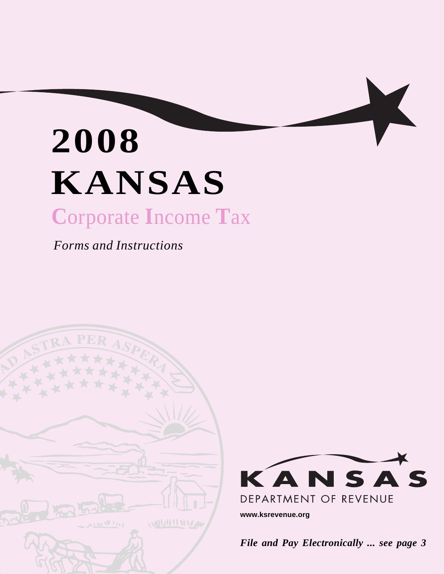# **2008 KANSAS C**orporate **I**ncome **T**ax

*Forms and Instructions* 





K

**www.ksrevenue.org** 

Page 1 *File and Pay Electronically ... see page 3*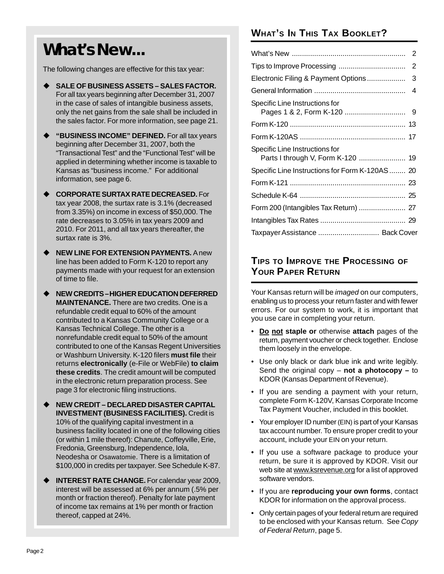# **What's New...**

The following changes are effective for this tax year:

- **SALE OF BUSINESS ASSETS SALES FACTOR.**  For all tax years beginning after December 31, 2007 in the case of sales of intangible business assets, only the net gains from the sale shall be included in the sales factor. For more information, see page 21.
- **"BUSINESS INCOME" DEFINED.** For all tax years beginning after December 31, 2007, both the "Transactional Test" and the "Functional Test" will be applied in determining whether income is taxable to Kansas as "business income." For additional information, see page 6.
- **CORPORATE SURTAX RATE DECREASED.** For tax year 2008, the surtax rate is 3.1% (decreased from 3.35%) on income in excess of \$50,000. The rate decreases to 3.05% in tax years 2009 and 2010. For 2011, and all tax years thereafter, the surtax rate is 3%.
- **NEW LINE FOR EXTENSION PAYMENTS.** A new line has been added to Form K-120 to report any payments made with your request for an extension of time to file.
- **NEW CREDITS –HIGHER EDUCATION DEFERRED MAINTENANCE.** There are two credits. One is a refundable credit equal to 60% of the amount contributed to a Kansas Community College or a Kansas Technical College. The other is a nonrefundable credit equal to 50% of the amount contributed to one of the Kansas Regent Universities or Washburn University. K-120 filers **must file** their returns **electronically** (e-File or WebFile) **to claim these credits**. The credit amount will be computed in the electronic return preparation process. See page 3 for electronic filing instructions.
- **NEW CREDIT DECLARED DISASTER CAPITAL INVESTMENT (BUSINESS FACILITIES).** Credit is 10% of the qualifying capital investment in a business facility located in one of the following cities (or within 1 mile thereof): Chanute, Coffeyville, Erie, Fredonia, Greensburg, Independence, Iola, Neodesha or Osawatomie. There is a limitation of \$100,000 in credits per taxpayer. See Schedule K-87.
- **INTEREST RATE CHANGE.** For calendar year 2009, interest will be assessed at 6% per annum (.5% per month or fraction thereof). Penalty for late payment of income tax remains at 1% per month or fraction thereof, capped at 24%.

### **WHAT'S IN THIS TAX BOOKLET?**

|                                             | 2   |
|---------------------------------------------|-----|
|                                             | 2   |
| Electronic Filing & Payment Options         | 3   |
|                                             | 4   |
| Specific Line Instructions for              |     |
|                                             |     |
|                                             |     |
| Specific Line Instructions for              |     |
| Specific Line Instructions for Form K-120AS | -20 |
|                                             |     |
|                                             |     |
|                                             |     |
|                                             |     |
| Taxpayer Assistance  Back Cover             |     |

### **TIPS TO IMPROVE THE PROCESSING OF YOUR PAPER RETURN**

Your Kansas return will be *imaged* on our computers, enabling us to process your return faster and with fewer errors. For our system to work, it is important that you use care in completing your return.

- • **Do not staple or** otherwise **attach** pages of the return, payment voucher or check together. Enclose them loosely in the envelope.
- Use only black or dark blue ink and write legibly. Send the original copy – **not a photocopy –** to KDOR (Kansas Department of Revenue).
- If you are sending a payment with your return, complete Form K-120V, Kansas Corporate Income Tax Payment Voucher, included in this booklet.
- Your employer ID number (EIN) is part of your Kansas tax account number. To ensure proper credit to your account, include your EIN on your return.
- **•** If you use a software package to produce your return, be sure it is approved by KDOR. Visit our web site at www.ksrevenue.org for a list of approved software vendors.
- • If you are **reproducing your own forms**, contact KDOR for information on the approval process.
- Only certain pages of your federal return are required to be enclosed with your Kansas return. See *Copy of Federal Return*, page 5.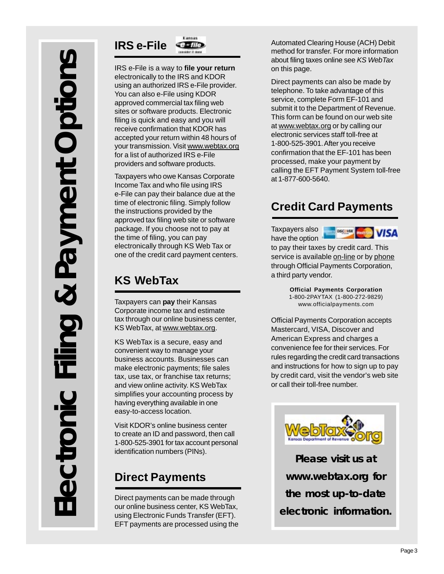

IRS e-File is a way to **file your return**  electronically to the IRS and KDOR using an authorized IRS e-File provider. You can also e-File using KDOR approved commercial tax filing web sites or software products. Electronic filing is quick and easy and you will receive confirmation that KDOR has accepted your return within 48 hours of your transmission. Visit www.webtax.org for a list of authorized IRS e-File providers and software products.

Taxpayers who owe Kansas Corporate Income Tax and who file using IRS e-File can pay their balance due at the time of electronic filing. Simply follow the instructions provided by the approved tax filing web site or software package. If you choose not to pay at the time of filing, you can pay electronically through KS Web Tax or one of the credit card payment centers.

### **KS WebTax**

Taxpayers can **pay** their Kansas Corporate income tax and estimate tax through our online business center, KS WebTax, at www.webtax.org.

KS WebTax is a secure, easy and convenient way to manage your business accounts. Businesses can make electronic payments; file sales tax, use tax, or franchise tax returns; and view online activity. KS WebTax simplifies your accounting process by having everything available in one easy-to-access location.

Visit KDOR's online business center to create an ID and password, then call 1-800-525-3901 for tax account personal identification numbers (PINs).

## **Direct Payments**

Direct payments can be made through our online business center, KS WebTax, using Electronic Funds Transfer (EFT). EFT payments are processed using the Automated Clearing House (ACH) Debit method for transfer. For more information about filing taxes online see *KS WebTax*  on this page.

Direct payments can also be made by telephone. To take advantage of this service, complete Form EF-101 and submit it to the Department of Revenue. This form can be found on our web site at www.webtax.org or by calling our electronic services staff toll-free at 1-800-525-3901. After you receive confirmation that the EF-101 has been processed, make your payment by calling the EFT Payment System toll-free at 1-877-600-5640.

### **Credit Card Payments**

Taxpayers also have the option



to pay their taxes by credit card. This service is available on-line or by phone through Official Payments Corporation, a third party vendor.

> **Official Payments Corporation**  1-800-2PAYTAX (1-800-272-9829) www.officialpayments.com

Official Payments Corporation accepts Mastercard, VISA, Discover and American Express and charges a convenience fee for their services. For rules regarding the credit card transactions and instructions for how to sign up to pay by credit card, visit the vendor's web site or call their toll-free number.



**Please visit us at www.webtax.org for the most up-to-date electronic information.**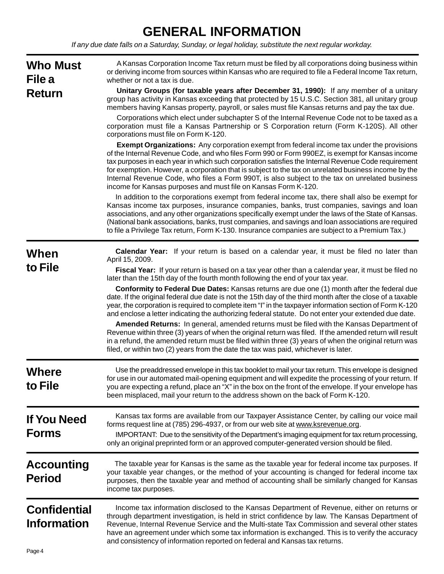### **GENERAL INFORMATION**

*If any due date falls on a Saturday, Sunday, or legal holiday, substitute the next regular workday.* 

| <b>Who Must</b><br>File a<br><b>Return</b> | A Kansas Corporation Income Tax return must be filed by all corporations doing business within<br>or deriving income from sources within Kansas who are required to file a Federal Income Tax return,<br>whether or not a tax is due.<br>Unitary Groups (for taxable years after December 31, 1990): If any member of a unitary<br>group has activity in Kansas exceeding that protected by 15 U.S.C. Section 381, all unitary group<br>members having Kansas property, payroll, or sales must file Kansas returns and pay the tax due.<br>Corporations which elect under subchapter S of the Internal Revenue Code not to be taxed as a<br>corporation must file a Kansas Partnership or S Corporation return (Form K-120S). All other<br>corporations must file on Form K-120.<br><b>Exempt Organizations:</b> Any corporation exempt from federal income tax under the provisions<br>of the Internal Revenue Code, and who files Form 990 or Form 990EZ, is exempt for Kansas income<br>tax purposes in each year in which such corporation satisfies the Internal Revenue Code requirement<br>for exemption. However, a corporation that is subject to the tax on unrelated business income by the<br>Internal Revenue Code, who files a Form 990T, is also subject to the tax on unrelated business<br>income for Kansas purposes and must file on Kansas Form K-120.<br>In addition to the corporations exempt from federal income tax, there shall also be exempt for<br>Kansas income tax purposes, insurance companies, banks, trust companies, savings and loan<br>associations, and any other organizations specifically exempt under the laws of the State of Kansas.<br>(National bank associations, banks, trust companies, and savings and loan associations are required<br>to file a Privilege Tax return, Form K-130. Insurance companies are subject to a Premium Tax.) |
|--------------------------------------------|--------------------------------------------------------------------------------------------------------------------------------------------------------------------------------------------------------------------------------------------------------------------------------------------------------------------------------------------------------------------------------------------------------------------------------------------------------------------------------------------------------------------------------------------------------------------------------------------------------------------------------------------------------------------------------------------------------------------------------------------------------------------------------------------------------------------------------------------------------------------------------------------------------------------------------------------------------------------------------------------------------------------------------------------------------------------------------------------------------------------------------------------------------------------------------------------------------------------------------------------------------------------------------------------------------------------------------------------------------------------------------------------------------------------------------------------------------------------------------------------------------------------------------------------------------------------------------------------------------------------------------------------------------------------------------------------------------------------------------------------------------------------------------------------------------------------------------------------------------------------------------------------|
| When<br>to File                            | Calendar Year: If your return is based on a calendar year, it must be filed no later than<br>April 15, 2009.<br>Fiscal Year: If your return is based on a tax year other than a calendar year, it must be filed no<br>later than the 15th day of the fourth month following the end of your tax year.<br><b>Conformity to Federal Due Dates: Kansas returns are due one (1) month after the federal due</b><br>date. If the original federal due date is not the 15th day of the third month after the close of a taxable<br>year, the corporation is required to complete item "I" in the taxpayer information section of Form K-120<br>and enclose a letter indicating the authorizing federal statute. Do not enter your extended due date.<br>Amended Returns: In general, amended returns must be filed with the Kansas Department of<br>Revenue within three (3) years of when the original return was filed. If the amended return will result<br>in a refund, the amended return must be filed within three (3) years of when the original return was<br>filed, or within two (2) years from the date the tax was paid, whichever is later.                                                                                                                                                                                                                                                                                                                                                                                                                                                                                                                                                                                                                                                                                                                                        |
| <b>Where</b><br>to File                    | Use the preaddressed envelope in this tax booklet to mail your tax return. This envelope is designed<br>for use in our automated mail-opening equipment and will expedite the processing of your return. If<br>you are expecting a refund, place an "X" in the box on the front of the envelope. If your envelope has<br>been misplaced, mail your return to the address shown on the back of Form K-120.                                                                                                                                                                                                                                                                                                                                                                                                                                                                                                                                                                                                                                                                                                                                                                                                                                                                                                                                                                                                                                                                                                                                                                                                                                                                                                                                                                                                                                                                                  |
| <b>If You Need</b><br><b>Forms</b>         | Kansas tax forms are available from our Taxpayer Assistance Center, by calling our voice mail<br>forms request line at (785) 296-4937, or from our web site at www.ksrevenue.org.<br>IMPORTANT: Due to the sensitivity of the Department's imaging equipment for tax return processing,<br>only an original preprinted form or an approved computer-generated version should be filed.                                                                                                                                                                                                                                                                                                                                                                                                                                                                                                                                                                                                                                                                                                                                                                                                                                                                                                                                                                                                                                                                                                                                                                                                                                                                                                                                                                                                                                                                                                     |
| <b>Accounting</b><br><b>Period</b>         | The taxable year for Kansas is the same as the taxable year for federal income tax purposes. If<br>your taxable year changes, or the method of your accounting is changed for federal income tax<br>purposes, then the taxable year and method of accounting shall be similarly changed for Kansas<br>income tax purposes.                                                                                                                                                                                                                                                                                                                                                                                                                                                                                                                                                                                                                                                                                                                                                                                                                                                                                                                                                                                                                                                                                                                                                                                                                                                                                                                                                                                                                                                                                                                                                                 |
| <b>Confidential</b><br><b>Information</b>  | Income tax information disclosed to the Kansas Department of Revenue, either on returns or<br>through department investigation, is held in strict confidence by law. The Kansas Department of<br>Revenue, Internal Revenue Service and the Multi-state Tax Commission and several other states<br>have an agreement under which some tax information is exchanged. This is to verify the accuracy<br>and consistency of information reported on federal and Kansas tax returns.                                                                                                                                                                                                                                                                                                                                                                                                                                                                                                                                                                                                                                                                                                                                                                                                                                                                                                                                                                                                                                                                                                                                                                                                                                                                                                                                                                                                            |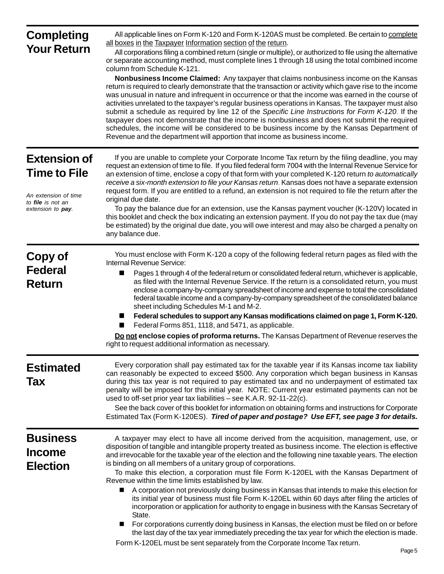| <b>Completing</b><br><b>Your Return</b>                                                                      | All applicable lines on Form K-120 and Form K-120AS must be completed. Be certain to complete<br>all boxes in the Taxpayer Information section of the return.<br>All corporations filing a combined return (single or multiple), or authorized to file using the alternative<br>or separate accounting method, must complete lines 1 through 18 using the total combined income<br>column from Schedule K-121.<br>Nonbusiness Income Claimed: Any taxpayer that claims nonbusiness income on the Kansas<br>return is required to clearly demonstrate that the transaction or activity which gave rise to the income<br>was unusual in nature and infrequent in occurrence or that the income was earned in the course of<br>activities unrelated to the taxpayer's regular business operations in Kansas. The taxpayer must also<br>submit a schedule as required by line 12 of the Specific Line Instructions for Form K-120. If the<br>taxpayer does not demonstrate that the income is nonbusiness and does not submit the required<br>schedules, the income will be considered to be business income by the Kansas Department of<br>Revenue and the department will apportion that income as business income. |
|--------------------------------------------------------------------------------------------------------------|-------------------------------------------------------------------------------------------------------------------------------------------------------------------------------------------------------------------------------------------------------------------------------------------------------------------------------------------------------------------------------------------------------------------------------------------------------------------------------------------------------------------------------------------------------------------------------------------------------------------------------------------------------------------------------------------------------------------------------------------------------------------------------------------------------------------------------------------------------------------------------------------------------------------------------------------------------------------------------------------------------------------------------------------------------------------------------------------------------------------------------------------------------------------------------------------------------------------|
| <b>Extension of</b><br><b>Time to File</b><br>An extension of time<br>to file is not an<br>extension to pay. | If you are unable to complete your Corporate Income Tax return by the filing deadline, you may<br>request an extension of time to file. If you filed federal form 7004 with the Internal Revenue Service for<br>an extension of time, enclose a copy of that form with your completed K-120 return to automatically<br>receive a six-month extension to file your Kansas return. Kansas does not have a separate extension<br>request form. If you are entitled to a refund, an extension is not required to file the return after the<br>original due date.<br>To pay the balance due for an extension, use the Kansas payment voucher (K-120V) located in<br>this booklet and check the box indicating an extension payment. If you do not pay the tax due (may<br>be estimated) by the original due date, you will owe interest and may also be charged a penalty on<br>any balance due.                                                                                                                                                                                                                                                                                                                       |
| Copy of<br><b>Federal</b><br><b>Return</b>                                                                   | You must enclose with Form K-120 a copy of the following federal return pages as filed with the<br>Internal Revenue Service:<br>Pages 1 through 4 of the federal return or consolidated federal return, whichever is applicable,<br>as filed with the Internal Revenue Service. If the return is a consolidated return, you must<br>enclose a company-by-company spreadsheet of income and expense to total the consolidated<br>federal taxable income and a company-by-company spreadsheet of the consolidated balance<br>sheet including Schedules M-1 and M-2.<br>Federal schedules to support any Kansas modifications claimed on page 1, Form K-120.<br>Federal Forms 851, 1118, and 5471, as applicable.<br>Do not enclose copies of proforma returns. The Kansas Department of Revenue reserves the<br>right to request additional information as necessary.                                                                                                                                                                                                                                                                                                                                               |
| <b>Estimated</b><br>Tax                                                                                      | Every corporation shall pay estimated tax for the taxable year if its Kansas income tax liability<br>can reasonably be expected to exceed \$500. Any corporation which began business in Kansas<br>during this tax year is not required to pay estimated tax and no underpayment of estimated tax<br>penalty will be imposed for this initial year. NOTE: Current year estimated payments can not be<br>used to off-set prior year tax liabilities - see K.A.R. 92-11-22(c).<br>See the back cover of this booklet for information on obtaining forms and instructions for Corporate<br>Estimated Tax (Form K-120ES). Tired of paper and postage? Use EFT, see page 3 for details.                                                                                                                                                                                                                                                                                                                                                                                                                                                                                                                                |
| <b>Business</b><br><b>Income</b><br><b>Election</b>                                                          | A taxpayer may elect to have all income derived from the acquisition, management, use, or<br>disposition of tangible and intangible property treated as business income. The election is effective<br>and irrevocable for the taxable year of the election and the following nine taxable years. The election<br>is binding on all members of a unitary group of corporations.<br>To make this election, a corporation must file Form K-120EL with the Kansas Department of<br>Revenue within the time limits established by law.<br>A corporation not previously doing business in Kansas that intends to make this election for<br>■<br>its initial year of business must file Form K-120EL within 60 days after filing the articles of<br>incorporation or application for authority to engage in business with the Kansas Secretary of<br>State.<br>For corporations currently doing business in Kansas, the election must be filed on or before<br>■<br>the last day of the tax year immediately preceding the tax year for which the election is made.<br>Form K-120EL must be sent separately from the Corporate Income Tax return.                                                                        |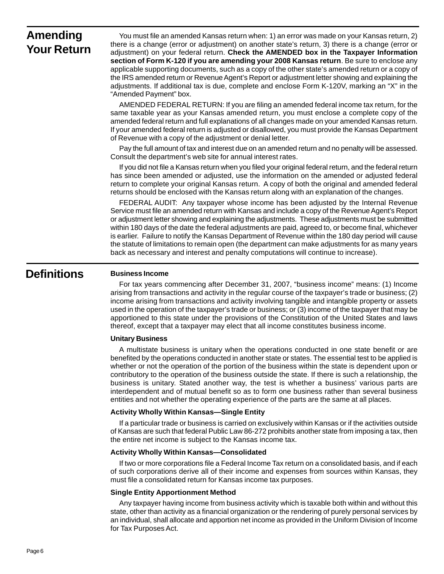### **Amending Your Return**

You must file an amended Kansas return when: 1) an error was made on your Kansas return, 2) there is a change (error or adjustment) on another state's return, 3) there is a change (error or adjustment) on your federal return. **Check the AMENDED box in the Taxpayer Information section of Form K-120 if you are amending your 2008 Kansas return**. Be sure to enclose any applicable supporting documents, such as a copy of the other state's amended return or a copy of the IRS amended return or Revenue Agent's Report or adjustment letter showing and explaining the adjustments. If additional tax is due, complete and enclose Form K-120V, marking an "X" in the "Amended Payment" box.

AMENDED FEDERAL RETURN: If you are filing an amended federal income tax return, for the same taxable year as your Kansas amended return, you must enclose a complete copy of the amended federal return and full explanations of all changes made on your amended Kansas return. If your amended federal return is adjusted or disallowed, you must provide the Kansas Department of Revenue with a copy of the adjustment or denial letter.

Pay the full amount of tax and interest due on an amended return and no penalty will be assessed. Consult the department's web site for annual interest rates.

If you did not file a Kansas return when you filed your original federal return, and the federal return has since been amended or adjusted, use the information on the amended or adjusted federal return to complete your original Kansas return. A copy of both the original and amended federal returns should be enclosed with the Kansas return along with an explanation of the changes.

FEDERAL AUDIT: Any taxpayer whose income has been adjusted by the Internal Revenue Service must file an amended return with Kansas and include a copy of the Revenue Agent's Report or adjustment letter showing and explaining the adjustments. These adjustments must be submitted within 180 days of the date the federal adjustments are paid, agreed to, or become final, whichever is earlier. Failure to notify the Kansas Department of Revenue within the 180 day period will cause the statute of limitations to remain open (the department can make adjustments for as many years back as necessary and interest and penalty computations will continue to increase).

### **Definitions**

#### **Business Income**

For tax years commencing after December 31, 2007, "business income" means: (1) Income arising from transactions and activity in the regular course of the taxpayer's trade or business; (2) income arising from transactions and activity involving tangible and intangible property or assets used in the operation of the taxpayer's trade or business; or (3) income of the taxpayer that may be apportioned to this state under the provisions of the Constitution of the United States and laws thereof, except that a taxpayer may elect that all income constitutes business income.

#### **Unitary Business**

A multistate business is unitary when the operations conducted in one state benefit or are benefited by the operations conducted in another state or states. The essential test to be applied is whether or not the operation of the portion of the business within the state is dependent upon or contributory to the operation of the business outside the state. If there is such a relationship, the business is unitary. Stated another way, the test is whether a business' various parts are interdependent and of mutual benefit so as to form one business rather than several business entities and not whether the operating experience of the parts are the same at all places.

#### **Activity Wholly Within Kansas—Single Entity**

If a particular trade or business is carried on exclusively within Kansas or if the activities outside of Kansas are such that federal Public Law 86-272 prohibits another state from imposing a tax, then the entire net income is subject to the Kansas income tax.

#### **Activity Wholly Within Kansas—Consolidated**

If two or more corporations file a Federal Income Tax return on a consolidated basis, and if each of such corporations derive all of their income and expenses from sources within Kansas, they must file a consolidated return for Kansas income tax purposes.

#### **Single Entity Apportionment Method**

Any taxpayer having income from business activity which is taxable both within and without this state, other than activity as a financial organization or the rendering of purely personal services by an individual, shall allocate and apportion net income as provided in the Uniform Division of Income for Tax Purposes Act.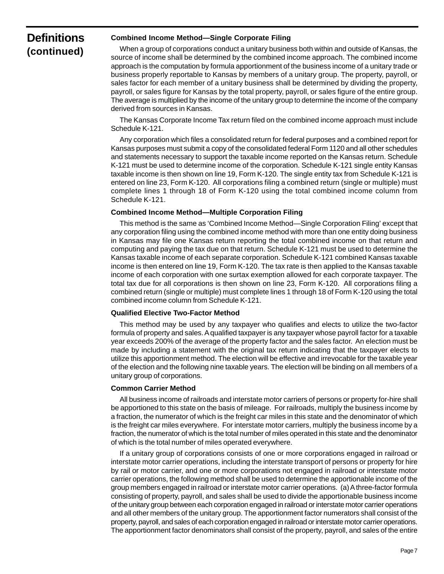### **Definitions (continued)**

#### **Combined Income Method—Single Corporate Filing**

When a group of corporations conduct a unitary business both within and outside of Kansas, the source of income shall be determined by the combined income approach. The combined income approach is the computation by formula apportionment of the business income of a unitary trade or business properly reportable to Kansas by members of a unitary group. The property, payroll, or sales factor for each member of a unitary business shall be determined by dividing the property, payroll, or sales figure for Kansas by the total property, payroll, or sales figure of the entire group. The average is multiplied by the income of the unitary group to determine the income of the company derived from sources in Kansas.

The Kansas Corporate Income Tax return filed on the combined income approach must include Schedule K-121.

 entered on line 23, Form K-120. All corporations filing a combined return (single or multiple) must Any corporation which files a consolidated return for federal purposes and a combined report for Kansas purposes must submit a copy of the consolidated federal Form 1120 and all other schedules and statements necessary to support the taxable income reported on the Kansas return. Schedule K-121 must be used to determine income of the corporation. Schedule K-121 single entity Kansas taxable income is then shown on line 19, Form K-120. The single entity tax from Schedule K-121 is complete lines 1 through 18 of Form K-120 using the total combined income column from Schedule K-121.

#### **Combined Income Method—Multiple Corporation Filing**

This method is the same as 'Combined Income Method—Single Corporation Filing' except that any corporation filing using the combined income method with more than one entity doing business in Kansas may file one Kansas return reporting the total combined income on that return and computing and paying the tax due on that return. Schedule K-121 must be used to determine the Kansas taxable income of each separate corporation. Schedule K-121 combined Kansas taxable income is then entered on line 19, Form K-120. The tax rate is then applied to the Kansas taxable income of each corporation with one surtax exemption allowed for each corporate taxpayer. The total tax due for all corporations is then shown on line 23, Form K-120. All corporations filing a combined return (single or multiple) must complete lines 1 through 18 of Form K-120 using the total combined income column from Schedule K-121.

#### **Qualified Elective Two-Factor Method**

This method may be used by any taxpayer who qualifies and elects to utilize the two-factor formula of property and sales. A qualified taxpayer is any taxpayer whose payroll factor for a taxable year exceeds 200% of the average of the property factor and the sales factor. An election must be made by including a statement with the original tax return indicating that the taxpayer elects to utilize this apportionment method. The election will be effective and irrevocable for the taxable year of the election and the following nine taxable years. The election will be binding on all members of a unitary group of corporations.

#### **Common Carrier Method**

All business income of railroads and interstate motor carriers of persons or property for-hire shall be apportioned to this state on the basis of mileage. For railroads, multiply the business income by a fraction, the numerator of which is the freight car miles in this state and the denominator of which is the freight car miles everywhere. For interstate motor carriers, multiply the business income by a fraction, the numerator of which is the total number of miles operated in this state and the denominator of which is the total number of miles operated everywhere.

If a unitary group of corporations consists of one or more corporations engaged in railroad or interstate motor carrier operations, including the interstate transport of persons or property for hire by rail or motor carrier, and one or more corporations not engaged in railroad or interstate motor carrier operations, the following method shall be used to determine the apportionable income of the group members engaged in railroad or interstate motor carrier operations. (a) A three-factor formula consisting of property, payroll, and sales shall be used to divide the apportionable business income of the unitary group between each corporation engaged in railroad or interstate motor carrier operations and all other members of the unitary group. The apportionment factor numerators shall consist of the property, payroll, and sales of each corporation engaged in railroad or interstate motor carrier operations. The apportionment factor denominators shall consist of the property, payroll, and sales of the entire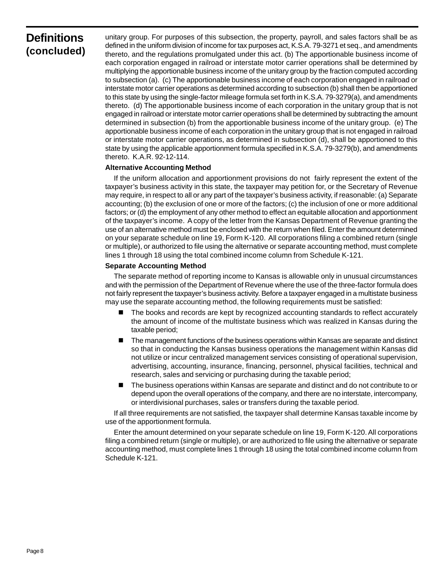### **Definitions (concluded)**

unitary group. For purposes of this subsection, the property, payroll, and sales factors shall be as defined in the uniform division of income for tax purposes act, K.S.A. 79-3271 et seq., and amendments thereto, and the regulations promulgated under this act. (b) The apportionable business income of each corporation engaged in railroad or interstate motor carrier operations shall be determined by multiplying the apportionable business income of the unitary group by the fraction computed according to subsection (a). (c) The apportionable business income of each corporation engaged in railroad or interstate motor carrier operations as determined according to subsection (b) shall then be apportioned to this state by using the single-factor mileage formula set forth in K.S.A. 79-3279(a), and amendments thereto. (d) The apportionable business income of each corporation in the unitary group that is not engaged in railroad or interstate motor carrier operations shall be determined by subtracting the amount determined in subsection (b) from the apportionable business income of the unitary group. (e) The apportionable business income of each corporation in the unitary group that is not engaged in railroad or interstate motor carrier operations, as determined in subsection (d), shall be apportioned to this state by using the applicable apportionment formula specified in K.S.A. 79-3279(b), and amendments thereto. K.A.R. 92-12-114.

#### **Alternative Accounting Method**

If the uniform allocation and apportionment provisions do not fairly represent the extent of the taxpayer's business activity in this state, the taxpayer may petition for, or the Secretary of Revenue may require, in respect to all or any part of the taxpayer's business activity, if reasonable: (a) Separate accounting; (b) the exclusion of one or more of the factors; (c) the inclusion of one or more additional factors; or (d) the employment of any other method to effect an equitable allocation and apportionment of the taxpayer's income. A copy of the letter from the Kansas Department of Revenue granting the use of an alternative method must be enclosed with the return when filed. Enter the amount determined on your separate schedule on line 19, Form K-120. All corporations filing a combined return (single or multiple), or authorized to file using the alternative or separate accounting method, must complete lines 1 through 18 using the total combined income column from Schedule K-121.

#### **Separate Accounting Method**

The separate method of reporting income to Kansas is allowable only in unusual circumstances and with the permission of the Department of Revenue where the use of the three-factor formula does not fairly represent the taxpayer's business activity. Before a taxpayer engaged in a multistate business may use the separate accounting method, the following requirements must be satisfied:

- The books and records are kept by recognized accounting standards to reflect accurately the amount of income of the multistate business which was realized in Kansas during the taxable period;
- The management functions of the business operations within Kansas are separate and distinct so that in conducting the Kansas business operations the management within Kansas did not utilize or incur centralized management services consisting of operational supervision, advertising, accounting, insurance, financing, personnel, physical facilities, technical and research, sales and servicing or purchasing during the taxable period;
- The business operations within Kansas are separate and distinct and do not contribute to or depend upon the overall operations of the company, and there are no interstate, intercompany, or interdivisional purchases, sales or transfers during the taxable period.

If all three requirements are not satisfied, the taxpayer shall determine Kansas taxable income by use of the apportionment formula.

Enter the amount determined on your separate schedule on line 19, Form K-120. All corporations filing a combined return (single or multiple), or are authorized to file using the alternative or separate accounting method, must complete lines 1 through 18 using the total combined income column from Schedule K-121.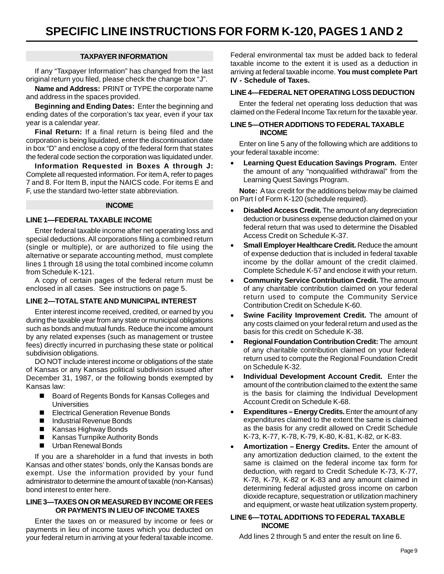#### **TAXPAYER INFORMATION**

If any "Taxpayer Information" has changed from the last original return you filed, please check the change box "J".

**Name and Address:** PRINT or TYPE the corporate name and address in the spaces provided.

**Beginning and Ending Dates:** Enter the beginning and ending dates of the corporation's tax year, even if your tax year is a calendar year.

**Final Return:** If a final return is being filed and the corporation is being liquidated, enter the discontinuation date in box "D" and enclose a copy of the federal form that states the federal code section the corporation was liquidated under.

**Information Requested in Boxes A through J:**  Complete all requested information. For item A, refer to pages 7 and 8. For Item B, input the NAICS code. For items E and F, use the standard two-letter state abbreviation.

#### **INCOME**

#### **LINE 1—FEDERAL TAXABLE INCOME**

Enter federal taxable income after net operating loss and special deductions. All corporations filing a combined return (single or multiple), or are authorized to file using the alternative or separate accounting method, must complete lines 1 through 18 using the total combined income column from Schedule K-121.

A copy of certain pages of the federal return must be enclosed in all cases. See instructions on page 5.

#### **LINE 2—TOTAL STATE AND MUNICIPAL INTEREST**

Enter interest income received, credited, or earned by you during the taxable year from any state or municipal obligations such as bonds and mutual funds. Reduce the income amount by any related expenses (such as management or trustee fees) directly incurred in purchasing these state or political subdivision obligations.

DO NOT include interest income or obligations of the state of Kansas or any Kansas political subdivision issued after December 31, 1987, or the following bonds exempted by Kansas law:

- Board of Regents Bonds for Kansas Colleges and **Universities**
- Electrical Generation Revenue Bonds
- Industrial Revenue Bonds
- Kansas Highway Bonds
- Kansas Turnpike Authority Bonds
- **Urban Renewal Bonds**

If you are a shareholder in a fund that invests in both Kansas and other states' bonds, only the Kansas bonds are exempt. Use the information provided by your fund administrator to determine the amount of taxable (non-Kansas) bond interest to enter here.

#### **LINE 3—TAXES ON OR MEASURED BY INCOME OR FEES OR PAYMENTS IN LIEU OF INCOME TAXES**

Enter the taxes on or measured by income or fees or payments in lieu of income taxes which you deducted on your federal return in arriving at your federal taxable income.

Federal environmental tax must be added back to federal taxable income to the extent it is used as a deduction in arriving at federal taxable income. **You must complete Part IV - Schedule of Taxes.** 

#### **LINE 4—FEDERAL NET OPERATING LOSS DEDUCTION**

Enter the federal net operating loss deduction that was claimed on the Federal Income Tax return for the taxable year.

#### **LINE 5—OTHER ADDITIONS TO FEDERAL TAXABLE INCOME**

Enter on line 5 any of the following which are additions to your federal taxable income:

**Learning Quest Education Savings Program.** Enter the amount of any "nonqualified withdrawal" from the Learning Quest Savings Program.

**Note:** A tax credit for the additions below may be claimed on Part I of Form K-120 (schedule required).

- **Disabled Access Credit.** The amount of any depreciation deduction or business expense deduction claimed on your federal return that was used to determine the Disabled Access Credit on Schedule K-37.
- **Small Employer Healthcare Credit.** Reduce the amount of expense deduction that is included in federal taxable income by the dollar amount of the credit claimed. Complete Schedule K-57 and enclose it with your return.
- • **Community Service Contribution Credit.** The amount of any charitable contribution claimed on your federal return used to compute the Community Service Contribution Credit on Schedule K-60.
- **Swine Facility Improvement Credit.** The amount of any costs claimed on your federal return and used as the basis for this credit on Schedule K-38.
- **Regional Foundation Contribution Credit: The amount** of any charitable contribution claimed on your federal return used to compute the Regional Foundation Credit on Schedule K-32.
- **Individual Development Account Credit.** Enter the amount of the contribution claimed to the extent the same is the basis for claiming the Individual Development Account Credit on Schedule K-68.
- **Expenditures Energy Credits.** Enter the amount of any expenditures claimed to the extent the same is claimed as the basis for any credit allowed on Credit Schedule K-73, K-77, K-78, K-79, K-80, K-81, K-82, or K-83.
- Amortization Energy Credits. Enter the amount of any amortization deduction claimed, to the extent the same is claimed on the federal income tax form for deduction, with regard to Credit Schedule K-73, K-77, K-78, K-79, K-82 or K-83 and any amount claimed in determining federal adjusted gross income on carbon dioxide recapture, sequestration or utilization machinery and equipment, or waste heat utilization system property.

#### **LINE 6—TOTAL ADDITIONS TO FEDERAL TAXABLE INCOME**

Add lines 2 through 5 and enter the result on line 6.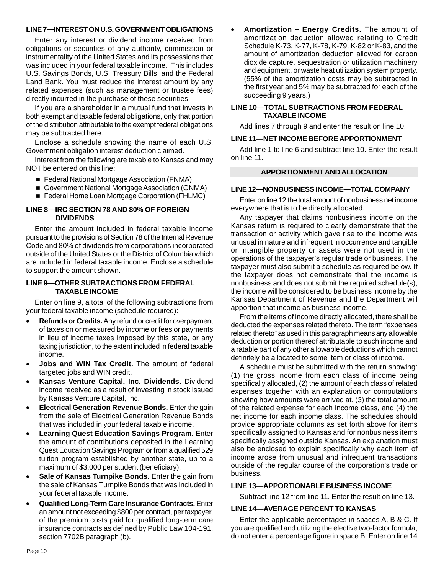#### **LINE 7—INTEREST ON U.S. GOVERNMENT OBLIGATIONS**

Enter any interest or dividend income received from obligations or securities of any authority, commission or instrumentality of the United States and its possessions that was included in your federal taxable income. This includes U.S. Savings Bonds, U.S. Treasury Bills, and the Federal Land Bank. You must reduce the interest amount by any related expenses (such as management or trustee fees) directly incurred in the purchase of these securities.

If you are a shareholder in a mutual fund that invests in both exempt and taxable federal obligations, only that portion of the distribution attributable to the exempt federal obligations may be subtracted here.

Enclose a schedule showing the name of each U.S. Government obligation interest deduction claimed.

Interest from the following are taxable to Kansas and may NOT be entered on this line:

- Federal National Mortgage Association (FNMA)
- Government National Mortgage Association (GNMA)
- Federal Home Loan Mortgage Corporation (FHLMC)

#### **LINE 8—IRC SECTION 78 AND 80% OF FOREIGN DIVIDENDS**

Enter the amount included in federal taxable income pursuant to the provisions of Section 78 of the Internal Revenue Code and 80% of dividends from corporations incorporated outside of the United States or the District of Columbia which are included in federal taxable income. Enclose a schedule to support the amount shown.

#### **LINE 9—OTHER SUBTRACTIONS FROM FEDERAL TAXABLE INCOME**

Enter on line 9, a total of the following subtractions from your federal taxable income (schedule required):

- **Refunds or Credits.** Any refund or credit for overpayment of taxes on or measured by income or fees or payments in lieu of income taxes imposed by this state, or any taxing jurisdiction, to the extent included in federal taxable income.
- **Jobs and WIN Tax Credit.** The amount of federal targeted jobs and WIN credit.
- **Kansas Venture Capital, Inc. Dividends.** Dividend income received as a result of investing in stock issued by Kansas Venture Capital, Inc.
- **Electrical Generation Revenue Bonds.** Enter the gain from the sale of Electrical Generation Revenue Bonds that was included in your federal taxable income.
- **Learning Quest Education Savings Program.** Enter the amount of contributions deposited in the Learning Quest Education Savings Program or from a qualified 529 tuition program established by another state, up to a maximum of \$3,000 per student (beneficiary).
- **Sale of Kansas Turnpike Bonds.** Enter the gain from the sale of Kansas Turnpike Bonds that was included in your federal taxable income.
- **Qualified Long-Term Care Insurance Contracts. Enter** an amount not exceeding \$800 per contract, per taxpayer, of the premium costs paid for qualified long-term care insurance contracts as defined by Public Law 104-191, section 7702B paragraph (b).

Amortization – Energy Credits. The amount of amortization deduction allowed relating to Credit Schedule K-73, K-77, K-78, K-79, K-82 or K-83, and the amount of amortization deduction allowed for carbon dioxide capture, sequestration or utilization machinery and equipment, or waste heat utilization system property. (55% of the amortization costs may be subtracted in the first year and 5% may be subtracted for each of the succeeding 9 years.)

#### **LINE 10—TOTAL SUBTRACTIONS FROM FEDERAL TAXABLE INCOME**

Add lines 7 through 9 and enter the result on line 10.

#### **LINE 11—NET INCOME BEFORE APPORTIONMENT**

Add line 1 to line 6 and subtract line 10. Enter the result on line 11.

#### **APPORTIONMENT AND ALLOCATION**

#### **LINE 12—NONBUSINESS INCOME—TOTAL COMPANY**

Enter on line 12 the total amount of nonbusiness net income everywhere that is to be directly allocated.

Any taxpayer that claims nonbusiness income on the Kansas return is required to clearly demonstrate that the transaction or activity which gave rise to the income was unusual in nature and infrequent in occurrence and tangible or intangible property or assets were not used in the operations of the taxpayer's regular trade or business. The taxpayer must also submit a schedule as required below. If the taxpayer does not demonstrate that the income is nonbusiness and does not submit the required schedule(s), the income will be considered to be business income by the Kansas Department of Revenue and the Department will apportion that income as business income.

From the items of income directly allocated, there shall be deducted the expenses related thereto. The term "expenses related thereto" as used in this paragraph means any allowable deduction or portion thereof attributable to such income and a ratable part of any other allowable deductions which cannot definitely be allocated to some item or class of income.

A schedule must be submitted with the return showing: (1) the gross income from each class of income being specifically allocated, (2) the amount of each class of related expenses together with an explanation or computations showing how amounts were arrived at, (3) the total amount of the related expense for each income class, and (4) the net income for each income class. The schedules should provide appropriate columns as set forth above for items specifically assigned to Kansas and for nonbusiness items specifically assigned outside Kansas. An explanation must also be enclosed to explain specifically why each item of income arose from unusual and infrequent transactions outside of the regular course of the corporation's trade or business.

#### **LINE 13—APPORTIONABLE BUSINESS INCOME**

Subtract line 12 from line 11. Enter the result on line 13.

#### **LINE 14—AVERAGE PERCENT TO KANSAS**

Enter the applicable percentages in spaces A, B & C. If you are qualified and utilizing the elective two-factor formula, do not enter a percentage figure in space B. Enter on line 14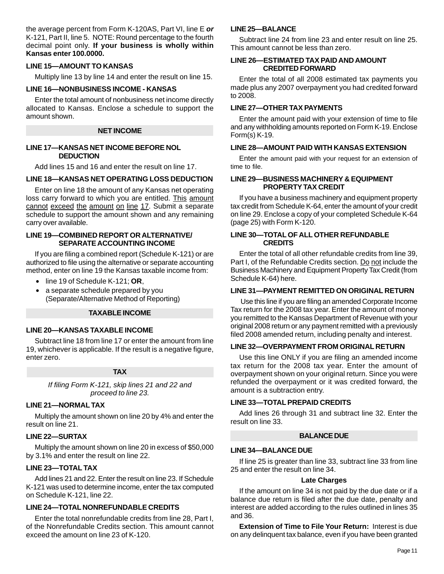the average percent from Form K-120AS, Part VI, line E *or*  K-121, Part II, line 5. NOTE: Round percentage to the fourth decimal point only. **If your business is wholly within Kansas enter 100.0000.** 

#### **LINE 15—AMOUNT TO KANSAS**

Multiply line 13 by line 14 and enter the result on line 15.

#### **LINE 16—NONBUSINESS INCOME - KANSAS**

Enter the total amount of nonbusiness net income directly allocated to Kansas. Enclose a schedule to support the amount shown.

#### **NET INCOME**

#### **LINE 17—KANSAS NET INCOME BEFORE NOL DEDUCTION**

Add lines 15 and 16 and enter the result on line 17.

#### **LINE 18—KANSAS NET OPERATING LOSS DEDUCTION**

Enter on line 18 the amount of any Kansas net operating loss carry forward to which you are entitled. This amount cannot exceed the amount on line 17. Submit a separate schedule to support the amount shown and any remaining carry over available.

#### **LINE 19—COMBINED REPORT OR ALTERNATIVE/ SEPARATE ACCOUNTING INCOME**

If you are filing a combined report (Schedule K-121) or are authorized to file using the alternative or separate accounting method, enter on line 19 the Kansas taxable income from:

- • line 19 of Schedule K-121; **OR**,
- a separate schedule prepared by you (Separate/Alternative Method of Reporting)

#### **TAXABLE INCOME**

#### **LINE 20—KANSAS TAXABLE INCOME**

Subtract line 18 from line 17 or enter the amount from line 19, whichever is applicable. If the result is a negative figure, enter zero.

#### **TAX**

*If filing Form K-121, skip lines 21 and 22 and proceed to line 23.* 

#### **LINE 21—NORMAL TAX**

Multiply the amount shown on line 20 by 4% and enter the result on line 21.

#### **LINE 22—SURTAX**

Multiply the amount shown on line 20 in excess of \$50,000 by 3.1% and enter the result on line 22.

#### **LINE 23—TOTAL TAX**

Add lines 21 and 22. Enter the result on line 23. If Schedule K-121 was used to determine income, enter the tax computed on Schedule K-121, line 22.

#### **LINE 24—TOTAL NONREFUNDABLE CREDITS**

Enter the total nonrefundable credits from line 28, Part I, of the Nonrefundable Credits section. This amount cannot exceed the amount on line 23 of K-120.

#### **LINE 25—BALANCE**

Subtract line 24 from line 23 and enter result on line 25. This amount cannot be less than zero.

#### **LINE 26—ESTIMATED TAX PAID AND AMOUNT CREDITED FORWARD**

Enter the total of all 2008 estimated tax payments you made plus any 2007 overpayment you had credited forward to 2008.

#### **LINE 27—OTHER TAX PAYMENTS**

Enter the amount paid with your extension of time to file and any withholding amounts reported on Form K-19. Enclose Form(s) K-19.

#### **LINE 28—AMOUNT PAID WITH KANSAS EXTENSION**

Enter the amount paid with your request for an extension of time to file.

#### **LINE 29—BUSINESS MACHINERY & EQUIPMENT PROPERTY TAX CREDIT**

If you have a business machinery and equipment property tax credit from Schedule K-64, enter the amount of your credit on line 29. Enclose a copy of your completed Schedule K-64 (page 25) with Form K-120.

#### **LINE 30—TOTAL OF ALL OTHER REFUNDABLE CREDITS**

Enter the total of all other refundable credits from line 39, Part I, of the Refundable Credits section. Do not include the Business Machinery and Equipment Property Tax Credit (from Schedule K-64) here.

#### **LINE 31—PAYMENT REMITTED ON ORIGINAL RETURN**

 Use this line if you are filing an amended Corporate Income Tax return for the 2008 tax year. Enter the amount of money you remitted to the Kansas Department of Revenue with your original 2008 return or any payment remitted with a previously filed 2008 amended return, including penalty and interest.

#### **LINE 32—OVERPAYMENT FROM ORIGINAL RETURN**

Use this line ONLY if you are filing an amended income tax return for the 2008 tax year. Enter the amount of overpayment shown on your original return. Since you were refunded the overpayment or it was credited forward, the amount is a subtraction entry.

#### **LINE 33—TOTAL PREPAID CREDITS**

Add lines 26 through 31 and subtract line 32. Enter the result on line 33.

#### **BALANCE DUE**

#### **LINE 34—BALANCE DUE**

If line 25 is greater than line 33, subtract line 33 from line 25 and enter the result on line 34.

#### **Late Charges**

If the amount on line 34 is not paid by the due date or if a balance due return is filed after the due date, penalty and interest are added according to the rules outlined in lines 35 and 36.

**Extension of Time to File Your Return:** Interest is due on any delinquent tax balance, even if you have been granted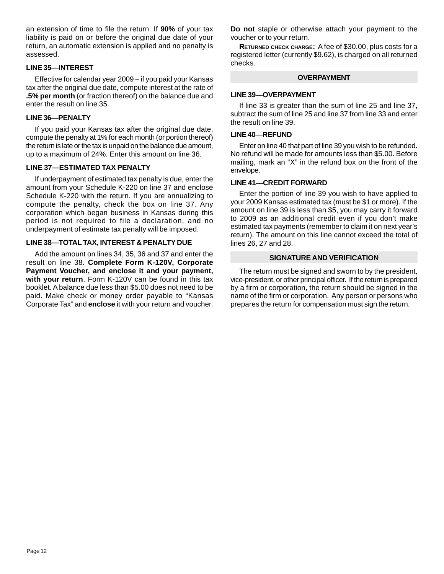an extension of time to file the return. If **90%** of your tax liability is paid on or before the original due date of your return, an automatic extension is applied and no penalty is assessed.

#### **LINE 35—INTEREST**

Effective for calendar year 2009 – if you paid your Kansas tax after the original due date, compute interest at the rate of **.5% per month** (or fraction thereof) on the balance due and enter the result on line 35.

#### **LINE 36—PENALTY**

If you paid your Kansas tax after the original due date, compute the penalty at 1% for each month (or portion thereof) the return is late or the tax is unpaid on the balance due amount, up to a maximum of 24%. Enter this amount on line 36.

#### **LINE 37—ESTIMATED TAX PENALTY**

If underpayment of estimated tax penalty is due, enter the amount from your Schedule K-220 on line 37 and enclose Schedule K-220 with the return. If you are annualizing to compute the penalty, check the box on line 37. Any corporation which began business in Kansas during this period is not required to file a declaration, and no underpayment of estimate tax penalty will be imposed.

#### **LINE 38—TOTAL TAX, INTEREST & PENALTY DUE**

Add the amount on lines 34, 35, 36 and 37 and enter the result on line 38. **Complete Form K-120V, Corporate Payment Voucher, and enclose it and your payment, with your return**. Form K-120V can be found in this tax booklet. A balance due less than \$5.00 does not need to be paid. Make check or money order payable to "Kansas Corporate Tax" and **enclose** it with your return and voucher.

**Do not** staple or otherwise attach your payment to the voucher or to your return.

 **RETURNED CHECK CHARGE:** A fee of \$30.00, plus costs for a registered letter (currently \$9.62), is charged on all returned checks.

#### **OVERPAYMENT**

#### **LINE 39—OVERPAYMENT**

If line 33 is greater than the sum of line 25 and line 37, subtract the sum of line 25 and line 37 from line 33 and enter the result on line 39.

#### **LINE 40—REFUND**

Enter on line 40 that part of line 39 you wish to be refunded. No refund will be made for amounts less than \$5.00. Before mailing, mark an "X" in the refund box on the front of the envelope.

#### **LINE 41—CREDIT FORWARD**

Enter the portion of line 39 you wish to have applied to your 2009 Kansas estimated tax (must be \$1 or more). If the amount on line 39 is less than \$5, you may carry it forward to 2009 as an additional credit even if you don't make estimated tax payments (remember to claim it on next year's return). The amount on this line cannot exceed the total of lines 26, 27 and 28.

#### **SIGNATURE AND VERIFICATION**

The return must be signed and sworn to by the president, vice-president, or other principal officer. If the return is prepared by a firm or corporation, the return should be signed in the name of the firm or corporation. Any person or persons who prepares the return for compensation must sign the return.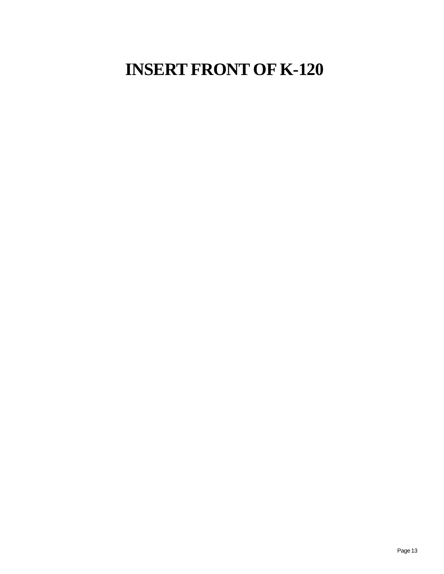# **INSERT FRONT OF K-120**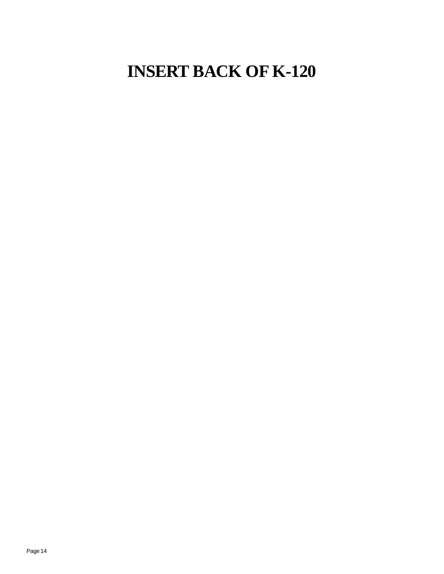# **INSERT BACK OF K-120**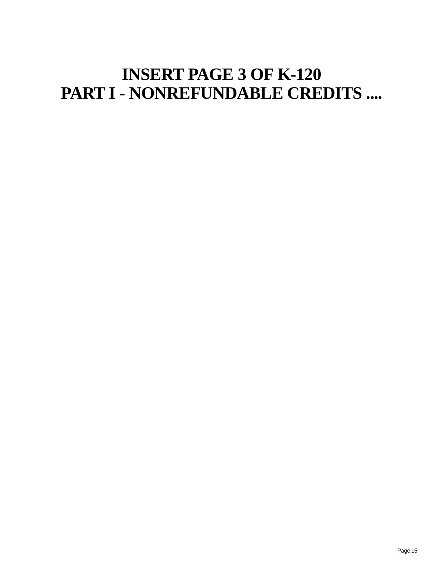# **INSERT PAGE 3 OF K-120 PART I - NONREFUNDABLE CREDITS ....**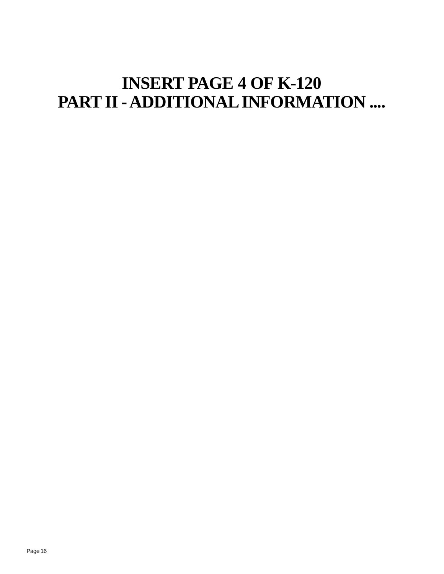# **INSERT PAGE 4 OF K-120 PART II - ADDITIONAL INFORMATION ....**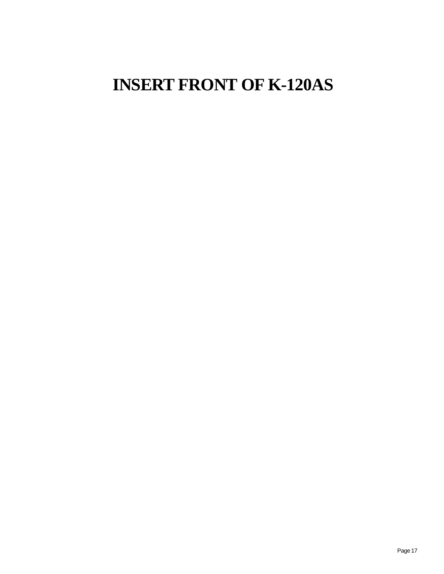# **INSERT FRONT OF K-120AS**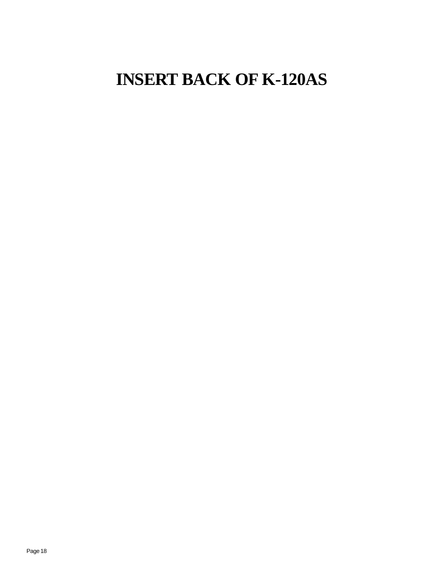# **INSERT BACK OF K-120AS**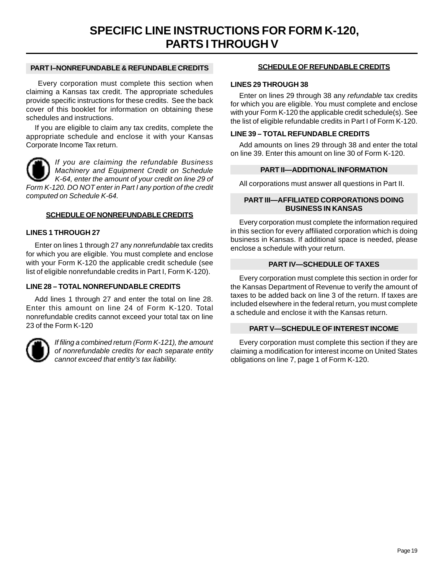#### **PART I–NONREFUNDABLE & REFUNDABLE CREDITS**

 Every corporation must complete this section when claiming a Kansas tax credit. The appropriate schedules provide specific instructions for these credits. See the back cover of this booklet for information on obtaining these schedules and instructions.

If you are eligible to claim any tax credits, complete the appropriate schedule and enclose it with your Kansas Corporate Income Tax return.

*If you are claiming the refundable Business Machinery and Equipment Credit on Schedule K-64, enter the amount of your credit on line 29 of Form K-120. DO NOT enter in Part I any portion of the credit computed on Schedule K-64.* 

#### **SCHEDULE OF NONREFUNDABLE CREDITS**

#### **LINES 1 THROUGH 27**

Enter on lines 1 through 27 any *nonrefundable* tax credits for which you are eligible. You must complete and enclose with your Form K-120 the applicable credit schedule (see list of eligible nonrefundable credits in Part I, Form K-120).

#### **LINE 28 – TOTAL NONREFUNDABLE CREDITS**

Add lines 1 through 27 and enter the total on line 28. Enter this amount on line 24 of Form K-120. Total nonrefundable credits cannot exceed your total tax on line 23 of the Form K-120



*If filing a combined return (Form K-121), the amount of nonrefundable credits for each separate entity cannot exceed that entity's tax liability.* 

#### **SCHEDULE OF REFUNDABLE CREDITS**

#### **LINES 29 THROUGH 38**

Enter on lines 29 through 38 any *refundable* tax credits for which you are eligible. You must complete and enclose with your Form K-120 the applicable credit schedule(s). See the list of eligible refundable credits in Part I of Form K-120.

#### **LINE 39 – TOTAL REFUNDABLE CREDITS**

Add amounts on lines 29 through 38 and enter the total on line 39. Enter this amount on line 30 of Form K-120.

#### **PART II—ADDITIONAL INFORMATION**

All corporations must answer all questions in Part II.

#### **PART III—AFFILIATED CORPORATIONS DOING BUSINESS IN KANSAS**

Every corporation must complete the information required in this section for every affiliated corporation which is doing business in Kansas. If additional space is needed, please enclose a schedule with your return.

#### **PART IV—SCHEDULE OF TAXES**

Every corporation must complete this section in order for the Kansas Department of Revenue to verify the amount of taxes to be added back on line 3 of the return. If taxes are included elsewhere in the federal return, you must complete a schedule and enclose it with the Kansas return.

#### **PART V—SCHEDULE OF INTEREST INCOME**

Every corporation must complete this section if they are claiming a modification for interest income on United States obligations on line 7, page 1 of Form K-120.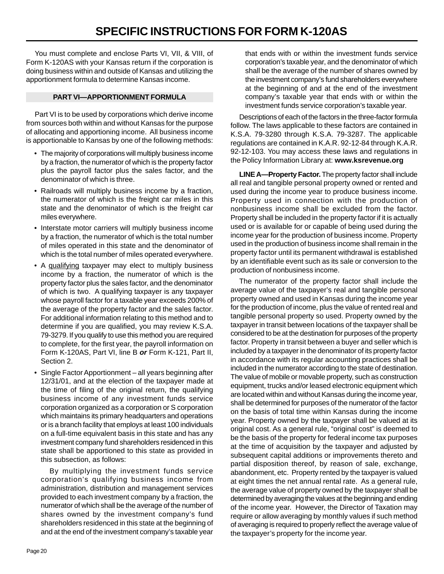You must complete and enclose Parts VI, VII, & VIII, of Form K-120AS with your Kansas return if the corporation is doing business within and outside of Kansas and utilizing the apportionment formula to determine Kansas income.

#### **PART VI—APPORTIONMENT FORMULA**

Part VI is to be used by corporations which derive income from sources both within and without Kansas for the purpose of allocating and apportioning income. All business income is apportionable to Kansas by one of the following methods:

- The majority of corporations will multiply business income by a fraction, the numerator of which is the property factor plus the payroll factor plus the sales factor, and the denominator of which is three.
- Railroads will multiply business income by a fraction, the numerator of which is the freight car miles in this state and the denominator of which is the freight car miles everywhere.
- Interstate motor carriers will multiply business income by a fraction, the numerator of which is the total number of miles operated in this state and the denominator of which is the total number of miles operated everywhere.
- A qualifying taxpayer may elect to multiply business income by a fraction, the numerator of which is the property factor plus the sales factor, and the denominator of which is two. A qualifying taxpayer is any taxpayer whose payroll factor for a taxable year exceeds 200% of the average of the property factor and the sales factor. For additional information relating to this method and to determine if you are qualified, you may review K.S.A. 79-3279. If you qualify to use this method you are required to complete, for the first year, the payroll information on Form K-120AS, Part VI, line B *or* Form K-121, Part II, Section 2.
- Single Factor Apportionment all years beginning after 12/31/01, and at the election of the taxpayer made at the time of filing of the original return, the qualifying business income of any investment funds service corporation organized as a corporation or S corporation which maintains its primary headquarters and operations or is a branch facility that employs at least 100 individuals on a full-time equivalent basis in this state and has any investment company fund shareholders residenced in this state shall be apportioned to this state as provided in this subsection, as follows:

By multiplying the investment funds service corporation's qualifying business income from administration, distribution and management services provided to each investment company by a fraction, the numerator of which shall be the average of the number of shares owned by the investment company's fund shareholders residenced in this state at the beginning of and at the end of the investment company's taxable year that ends with or within the investment funds service corporation's taxable year, and the denominator of which shall be the average of the number of shares owned by the investment company's fund shareholders everywhere at the beginning of and at the end of the investment company's taxable year that ends with or within the investment funds service corporation's taxable year.

Descriptions of each of the factors in the three-factor formula follow. The laws applicable to these factors are contained in K.S.A. 79-3280 through K.S.A. 79-3287. The applicable regulations are contained in K.A.R. 92-12-84 through K.A.R. 92-12-103. You may access these laws and regulations in the Policy Information Library at: **www.ksrevenue.org** 

**LINE A—Property Factor.** The property factor shall include all real and tangible personal property owned or rented and used during the income year to produce business income. Property used in connection with the production of nonbusiness income shall be excluded from the factor. Property shall be included in the property factor if it is actually used or is available for or capable of being used during the income year for the production of business income. Property used in the production of business income shall remain in the property factor until its permanent withdrawal is established by an identifiable event such as its sale or conversion to the production of nonbusiness income.

The numerator of the property factor shall include the average value of the taxpayer's real and tangible personal property owned and used in Kansas during the income year for the production of income, plus the value of rented real and tangible personal property so used. Property owned by the taxpayer in transit between locations of the taxpayer shall be considered to be at the destination for purposes of the property factor. Property in transit between a buyer and seller which is included by a taxpayer in the denominator of its property factor in accordance with its regular accounting practices shall be included in the numerator according to the state of destination. The value of mobile or movable property, such as construction equipment, trucks and/or leased electronic equipment which are located within and without Kansas during the income year, shall be determined for purposes of the numerator of the factor on the basis of total time within Kansas during the income year. Property owned by the taxpayer shall be valued at its original cost. As a general rule, "original cost" is deemed to be the basis of the property for federal income tax purposes at the time of acquisition by the taxpayer and adjusted by subsequent capital additions or improvements thereto and partial disposition thereof, by reason of sale, exchange, abandonment, etc. Property rented by the taxpayer is valued at eight times the net annual rental rate. As a general rule, the average value of property owned by the taxpayer shall be determined by averaging the values at the beginning and ending of the income year. However, the Director of Taxation may require or allow averaging by monthly values if such method of averaging is required to properly reflect the average value of the taxpayer's property for the income year.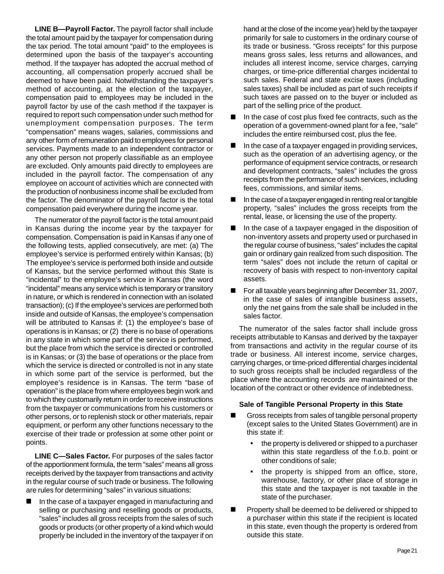**LINE B—Payroll Factor.** The payroll factor shall include the total amount paid by the taxpayer for compensation during the tax period. The total amount "paid" to the employees is determined upon the basis of the taxpayer's accounting method. If the taxpayer has adopted the accrual method of accounting, all compensation properly accrued shall be deemed to have been paid. Notwithstanding the taxpayer's method of accounting, at the election of the taxpayer, compensation paid to employees may be included in the payroll factor by use of the cash method if the taxpayer is required to report such compensation under such method for unemployment compensation purposes. The term "compensation" means wages, salaries, commissions and any other form of remuneration paid to employees for personal services. Payments made to an independent contractor or any other person not properly classifiable as an employee are excluded. Only amounts paid directly to employees are included in the payroll factor. The compensation of any employee on account of activities which are connected with the production of nonbusiness income shall be excluded from the factor. The denominator of the payroll factor is the total compensation paid everywhere during the income year.

The numerator of the payroll factor is the total amount paid in Kansas during the income year by the taxpayer for compensation. Compensation is paid in Kansas if any one of the following tests, applied consecutively, are met: (a) The employee's service is performed entirely within Kansas; (b) The employee's service is performed both inside and outside of Kansas, but the service performed without this State is "incidental" to the employee's service in Kansas (the word "incidental" means any service which is temporary or transitory in nature, or which is rendered in connection with an isolated transaction); (c) If the employee's services are performed both inside and outside of Kansas, the employee's compensation will be attributed to Kansas if: (1) the employee's base of operations is in Kansas; or (2) there is no base of operations in any state in which some part of the service is performed, but the place from which the service is directed or controlled is in Kansas; or (3) the base of operations or the place from which the service is directed or controlled is not in any state in which some part of the service is performed, but the employee's residence is in Kansas. The term "base of operation" is the place from where employees begin work and to which they customarily return in order to receive instructions from the taxpayer or communications from his customers or other persons, or to replenish stock or other materials, repair equipment, or perform any other functions necessary to the exercise of their trade or profession at some other point or points.

**LINE C—Sales Factor.** For purposes of the sales factor of the apportionment formula, the term "sales" means all gross receipts derived by the taxpayer from transactions and activity in the regular course of such trade or business. The following are rules for determining "sales" in various situations:

 In the case of a taxpayer engaged in manufacturing and selling or purchasing and reselling goods or products, "sales" includes all gross receipts from the sales of such goods or products (or other property of a kind which would properly be included in the inventory of the taxpayer if on

hand at the close of the income year) held by the taxpayer primarily for sale to customers in the ordinary course of its trade or business. "Gross receipts" for this purpose means gross sales, less returns and allowances, and includes all interest income, service charges, carrying charges, or time-price differential charges incidental to such sales. Federal and state excise taxes (including sales taxes) shall be included as part of such receipts if such taxes are passed on to the buyer or included as part of the selling price of the product.

- In the case of cost plus fixed fee contracts, such as the operation of a government-owned plant for a fee, "sale" includes the entire reimbursed cost, plus the fee.
- In the case of a taxpayer engaged in providing services, such as the operation of an advertising agency, or the performance of equipment service contracts, or research and development contracts, "sales" includes the gross receipts from the performance of such services, including fees, commissions, and similar items.
- In the case of a taxpayer engaged in renting real or tangible property, "sales" includes the gross receipts from the rental, lease, or licensing the use of the property.
- In the case of a taxpayer engaged in the disposition of non-inventory assets and property used or purchased in the regular course of business, "sales" includes the capital gain or ordinary gain realized from such disposition. The term "sales" does not include the return of capital or recovery of basis with respect to non-inventory capital assets.
- For all taxable years beginning after December 31, 2007, in the case of sales of intangible business assets, only the net gains from the sale shall be included in the sales factor.

The numerator of the sales factor shall include gross receipts attributable to Kansas and derived by the taxpayer from transactions and activity in the regular course of its trade or business. All interest income, service charges, carrying charges, or time-priced differential charges incidental to such gross receipts shall be included regardless of the place where the accounting records are maintained or the location of the contract or other evidence of indebtedness.

#### **Sale of Tangible Personal Property in this State**

- Gross receipts from sales of tangible personal property (except sales to the United States Government) are in this state if:
	- the property is delivered or shipped to a purchaser within this state regardless of the f.o.b. point or other conditions of sale;
	- the property is shipped from an office, store, warehouse, factory, or other place of storage in this state and the taxpayer is not taxable in the state of the purchaser.
- **Property shall be deemed to be delivered or shipped to** a purchaser within this state if the recipient is located in this state, even though the property is ordered from outside this state.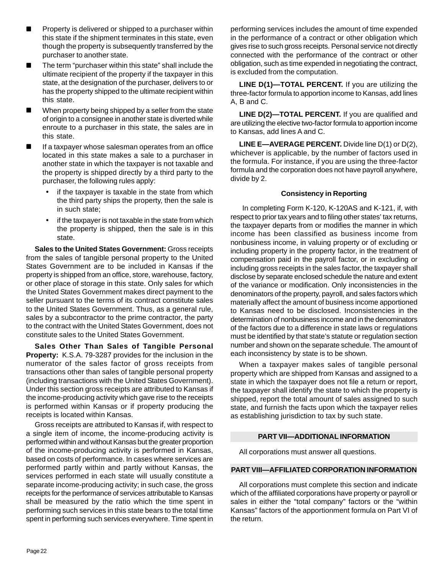- Property is delivered or shipped to a purchaser within this state if the shipment terminates in this state, even though the property is subsequently transferred by the purchaser to another state.
- The term "purchaser within this state" shall include the ultimate recipient of the property if the taxpayer in this state, at the designation of the purchaser, delivers to or has the property shipped to the ultimate recipient within this state.
- When property being shipped by a seller from the state of origin to a consignee in another state is diverted while enroute to a purchaser in this state, the sales are in this state.
- If a taxpayer whose salesman operates from an office located in this state makes a sale to a purchaser in another state in which the taxpayer is not taxable and the property is shipped directly by a third party to the purchaser, the following rules apply:
	- if the taxpayer is taxable in the state from which the third party ships the property, then the sale is in such state;
	- if the taxpayer is not taxable in the state from which the property is shipped, then the sale is in this state.

**Sales to the United States Government:** Gross receipts from the sales of tangible personal property to the United States Government are to be included in Kansas if the property is shipped from an office, store, warehouse, factory, or other place of storage in this state. Only sales for which the United States Government makes direct payment to the seller pursuant to the terms of its contract constitute sales to the United States Government. Thus, as a general rule, sales by a subcontractor to the prime contractor, the party to the contract with the United States Government, does not constitute sales to the United States Government.

**Sales Other Than Sales of Tangible Personal Property:** K.S.A. 79-3287 provides for the inclusion in the numerator of the sales factor of gross receipts from transactions other than sales of tangible personal property (including transactions with the United States Government). Under this section gross receipts are attributed to Kansas if the income-producing activity which gave rise to the receipts is performed within Kansas or if property producing the receipts is located within Kansas.

Gross receipts are attributed to Kansas if, with respect to a single item of income, the income-producing activity is performed within and without Kansas but the greater proportion of the income-producing activity is performed in Kansas, based on costs of performance. In cases where services are performed partly within and partly without Kansas, the services performed in each state will usually constitute a separate income-producing activity; in such case, the gross receipts for the performance of services attributable to Kansas shall be measured by the ratio which the time spent in performing such services in this state bears to the total time spent in performing such services everywhere. Time spent in performing services includes the amount of time expended in the performance of a contract or other obligation which gives rise to such gross receipts. Personal service not directly connected with the performance of the contract or other obligation, such as time expended in negotiating the contract, is excluded from the computation.

**LINE D(1)—TOTAL PERCENT.** If you are utilizing the three-factor formula to apportion income to Kansas, add lines A, B and C.

**LINE D(2)—TOTAL PERCENT.** If you are qualified and are utilizing the elective two-factor formula to apportion income to Kansas, add lines A and C.

**LINE E—AVERAGE PERCENT.** Divide line D(1) or D(2), whichever is applicable, by the number of factors used in the formula. For instance, if you are using the three-factor formula and the corporation does not have payroll anywhere, divide by 2.

#### **Consistency in Reporting**

In completing Form K-120, K-120AS and K-121, if, with respect to prior tax years and to filing other states' tax returns, the taxpayer departs from or modifies the manner in which income has been classified as business income from nonbusiness income, in valuing property or of excluding or including property in the property factor, in the treatment of compensation paid in the payroll factor, or in excluding or including gross receipts in the sales factor, the taxpayer shall disclose by separate enclosed schedule the nature and extent of the variance or modification. Only inconsistencies in the denominators of the property, payroll, and sales factors which materially affect the amount of business income apportioned to Kansas need to be disclosed. Inconsistencies in the determination of nonbusiness income and in the denominators of the factors due to a difference in state laws or regulations must be identified by that state's statute or regulation section number and shown on the separate schedule. The amount of each inconsistency by state is to be shown.

When a taxpayer makes sales of tangible personal property which are shipped from Kansas and assigned to a state in which the taxpayer does not file a return or report, the taxpayer shall identify the state to which the property is shipped, report the total amount of sales assigned to such state, and furnish the facts upon which the taxpayer relies as establishing jurisdiction to tax by such state.

#### **PART VII—ADDITIONAL INFORMATION**

All corporations must answer all questions.

#### **PART VIII—AFFILIATED CORPORATION INFORMATION**

All corporations must complete this section and indicate which of the affiliated corporations have property or payroll or sales in either the "total company" factors or the "within Kansas" factors of the apportionment formula on Part VI of the return.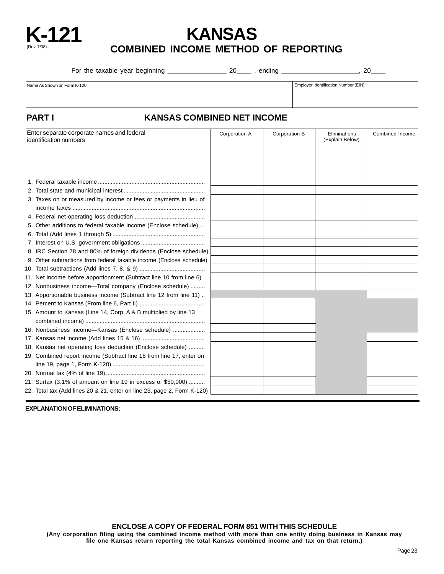

### **K-121 KANSAS COMBINED INCOME METHOD OF REPORTING**

For the taxable year beginning \_\_\_\_\_\_\_\_\_\_\_\_\_\_\_\_\_\_\_\_\_\_\_ 20\_\_\_\_\_\_\_, ending \_\_\_\_\_\_\_\_\_\_\_\_\_\_\_\_\_\_\_\_\_\_\_\_, 20\_\_\_\_\_\_

Name As Shown on Form K-120 **Employer Identification Number (EIN)** Employer Identification Number (EIN)

#### **PART I KANSAS COMBINED NET INCOME**

| Enter separate corporate names and federal<br>identification numbers    | Corporation A | Corporation B | Eliminations<br>(Explain Below) | Combined Income |
|-------------------------------------------------------------------------|---------------|---------------|---------------------------------|-----------------|
|                                                                         |               |               |                                 |                 |
|                                                                         |               |               |                                 |                 |
|                                                                         |               |               |                                 |                 |
|                                                                         |               |               |                                 |                 |
|                                                                         |               |               |                                 |                 |
| 3. Taxes on or measured by income or fees or payments in lieu of        |               |               |                                 |                 |
|                                                                         |               |               |                                 |                 |
|                                                                         |               |               |                                 |                 |
| 5. Other additions to federal taxable income (Enclose schedule)         |               |               |                                 |                 |
|                                                                         |               |               |                                 |                 |
|                                                                         |               |               |                                 |                 |
| 8. IRC Section 78 and 80% of foreign dividends (Enclose schedule)       |               |               |                                 |                 |
| 9. Other subtractions from federal taxable income (Enclose schedule)    |               |               |                                 |                 |
|                                                                         |               |               |                                 |                 |
| 11. Net income before apportionment (Subtract line 10 from line 6).     |               |               |                                 |                 |
| 12. Nonbusiness income-Total company (Enclose schedule)                 |               |               |                                 |                 |
| 13. Apportionable business income (Subtract line 12 from line 11)       |               |               |                                 |                 |
|                                                                         |               |               |                                 |                 |
| 15. Amount to Kansas (Line 14, Corp. A & B multiplied by line 13        |               |               |                                 |                 |
|                                                                         |               |               |                                 |                 |
| 16. Nonbusiness income-Kansas (Enclose schedule)                        |               |               |                                 |                 |
|                                                                         |               |               |                                 |                 |
| 18. Kansas net operating loss deduction (Enclose schedule)              |               |               |                                 |                 |
| 19. Combined report income (Subtract line 18 from line 17, enter on     |               |               |                                 |                 |
|                                                                         |               |               |                                 |                 |
|                                                                         |               |               |                                 |                 |
| 21. Surtax (3.1% of amount on line 19 in excess of \$50,000)            |               |               |                                 |                 |
| 22. Total tax (Add lines 20 & 21, enter on line 23, page 2, Form K-120) |               |               |                                 |                 |

**EXPLANATION OF ELIMINATIONS:**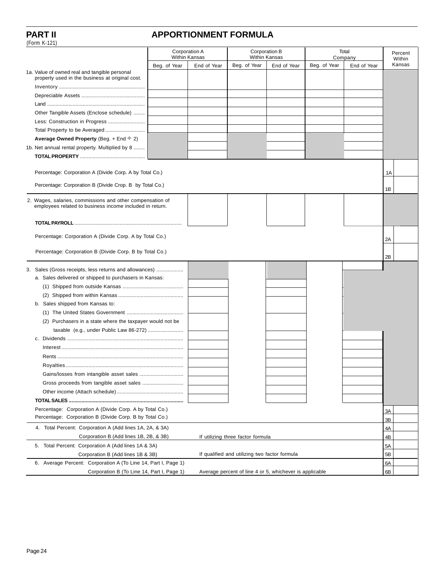(Form K-121)

### **PART II APPORTIONMENT FORMULA**

| $(1 \text{ } 01111 \text{ } 15^{-1} 21)$                       |               |             |                                                         |                      |              |             |          |
|----------------------------------------------------------------|---------------|-------------|---------------------------------------------------------|----------------------|--------------|-------------|----------|
|                                                                | Corporation A |             |                                                         | Corporation B        |              | Total       | Percent  |
|                                                                | Within Kansas |             |                                                         | <b>Within Kansas</b> |              | Company     | Within   |
| 1a. Value of owned real and tangible personal                  | Beg. of Year  | End of Year | Beg. of Year                                            | End of Year          | Beg. of Year | End of Year | Kansas   |
| property used in the business at original cost.                |               |             |                                                         |                      |              |             |          |
|                                                                |               |             |                                                         |                      |              |             |          |
|                                                                |               |             |                                                         |                      |              |             |          |
|                                                                |               |             |                                                         |                      |              |             |          |
| Other Tangible Assets (Enclose schedule)                       |               |             |                                                         |                      |              |             |          |
|                                                                |               |             |                                                         |                      |              |             |          |
| Total Property to be Averaged                                  |               |             |                                                         |                      |              |             |          |
| Average Owned Property (Beg. + End $\div$ 2)                   |               |             |                                                         |                      |              |             |          |
| 1b. Net annual rental property. Multiplied by 8                |               |             |                                                         |                      |              |             |          |
|                                                                |               |             |                                                         |                      |              |             |          |
| Percentage: Corporation A (Divide Corp. A by Total Co.)        |               |             |                                                         |                      |              |             | 1A       |
|                                                                |               |             |                                                         |                      |              |             |          |
| Percentage: Corporation B (Divide Crop. B by Total Co.)        |               |             |                                                         |                      |              |             | 1B       |
| 2. Wages, salaries, commissions and other compensation of      |               |             |                                                         |                      |              |             |          |
| employees related to business income included in return.       |               |             |                                                         |                      |              |             |          |
|                                                                |               |             |                                                         |                      |              |             |          |
|                                                                |               |             |                                                         |                      |              |             |          |
| Percentage: Corporation A (Divide Corp. A by Total Co.)        |               |             |                                                         |                      |              |             | 2A       |
| Percentage: Corporation B (Divide Corp. B by Total Co.)        |               |             |                                                         |                      |              |             | 2B       |
|                                                                |               |             |                                                         |                      |              |             |          |
| 3. Sales (Gross receipts, less returns and allowances)         |               |             |                                                         |                      |              |             |          |
| a. Sales delivered or shipped to purchasers in Kansas:         |               |             |                                                         |                      |              |             |          |
|                                                                |               |             |                                                         |                      |              |             |          |
| b. Sales shipped from Kansas to:                               |               |             |                                                         |                      |              |             |          |
|                                                                |               |             |                                                         |                      |              |             |          |
| (2) Purchasers in a state where the taxpayer would not be      |               |             |                                                         |                      |              |             |          |
|                                                                |               |             |                                                         |                      |              |             |          |
|                                                                |               |             |                                                         |                      |              |             |          |
|                                                                |               |             |                                                         |                      |              |             |          |
|                                                                |               |             |                                                         |                      |              |             |          |
|                                                                |               |             |                                                         |                      |              |             |          |
|                                                                |               |             |                                                         |                      |              |             |          |
|                                                                |               |             |                                                         |                      |              |             |          |
|                                                                |               |             |                                                         |                      |              |             |          |
|                                                                |               |             |                                                         |                      |              |             |          |
| Percentage: Corporation A (Divide Corp. A by Total Co.)        |               |             |                                                         |                      |              |             |          |
| Percentage: Corporation B (Divide Corp. B by Total Co.)        |               |             |                                                         |                      |              |             | 3A<br>3B |
| 4. Total Percent: Corporation A (Add lines 1A, 2A, & 3A)       |               |             |                                                         |                      |              |             | 4A       |
| Corporation B (Add lines 1B, 2B, & 3B)                         |               |             | If utilizing three factor formula                       |                      |              |             | 4B       |
| 5. Total Percent: Corporation A (Add lines 1A & 3A)            |               |             |                                                         |                      |              |             | 5A       |
| Corporation B (Add lines 1B & 3B)                              |               |             | If qualified and utilizing two factor formula           |                      |              |             | 5B       |
| 6. Average Percent: Corporation A (To Line 14, Part I, Page 1) |               |             |                                                         |                      |              |             | 6A       |
| Corporation B (To Line 14, Part I, Page 1)                     |               |             | Average percent of line 4 or 5, whichever is applicable |                      |              |             | 6B       |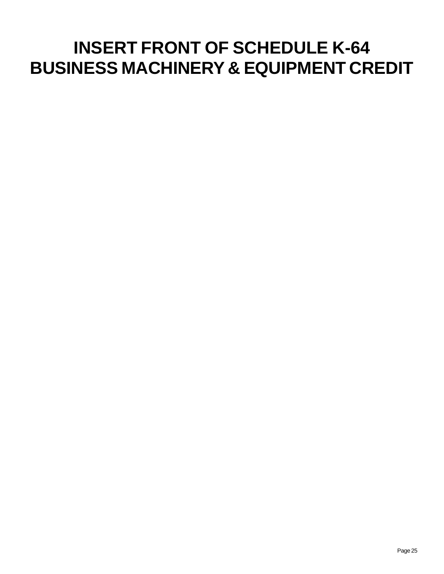# **INSERT FRONT OF SCHEDULE K-64 BUSINESS MACHINERY & EQUIPMENT CREDIT**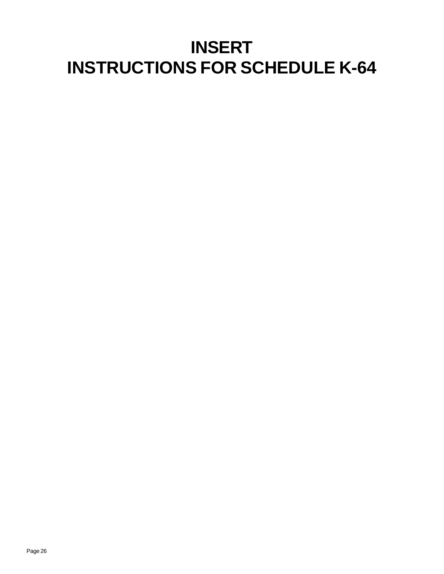# **INSERT INSTRUCTIONS FOR SCHEDULE K-64**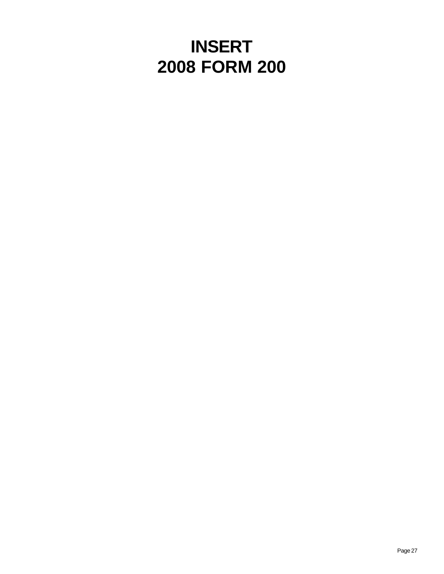# **INSERT 2008 FORM 200**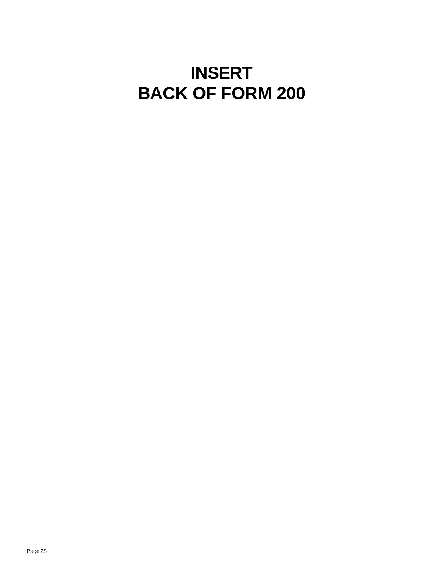# **INSERT BACK OF FORM 200**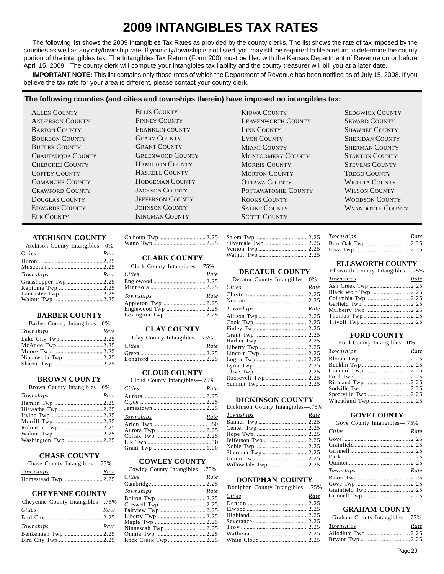### **2009 INTANGIBLES TAX RATES**

The following list shows the 2009 Intangibles Tax Rates as provided by the county clerks. The list shows the rate of tax imposed by the counties as well as any city/township rate. If your city/township is not listed, you may still be required to file a return to determine the county portion of the intangibles tax. The Intangibles Tax Return (Form 200) must be filed with the Kansas Department of Revenue on or before April 15, 2009. The county clerk will compute your intangibles tax liability and the county treasurer will bill you at a later date.

**IMPORTANT NOTE:** This list contains only those rates of which the Department of Revenue has been notified as of July 15, 2008. If you believe the tax rate for your area is different, please contact your county clerk.

#### **The following counties (and cities and townships therein) have imposed no intangibles tax:**

ELK COUNTY **KINGMAN COUNTY** SCOTT COUNTY

ALLEN COUNTY ELLIS COUNTY KIOWA COUNTY SEDGWICK COUNTY

ANDERSON COUNTY FINNEY COUNTY LEAVENWORTH COUNTY SEWARD COUNTY BARTON COUNTY FRANKLIN COUNTY LINN COUNTY SHAWNEE COUNTY BOURBON COUNTY GEARY COUNTY LYON COUNTY SHERIDAN COUNTY BUTLER COUNTY GRANT COUNTY MIAMI COUNTY SHERMAN COUNTY CHAUTAUQUA COUNTY GREENWOOD COUNTY MONTGOMERY COUNTY STANTON COUNTY CHEROKEE COUNTY HAMILTON COUNTY MORRIS COUNTY STEVENS COUNTY COFFEY COUNTY HASKELL COUNTY MORTON COUNTY TREGO COUNTY COMANCHE COUNTY HODGEMAN COUNTY OTTAWA COUNTY WICHITA COUNTY CRAWFORD COUNTY JACKSON COUNTY POTTAWATOMIE COUNTY WILSON COUNTY DOUGLAS COUNTY JEFFERSON COUNTY ROOKS COUNTY WOODSON COUNTY EDWARDS COUNTY JOHNSON COUNTY SALINE COUNTY WYANDOTTE COUNTY

#### **ATCHISON COUNTY**

| Atchison County Intangibles—0% |      |
|--------------------------------|------|
| Cities                         | Rate |
|                                |      |
|                                |      |
| Townships                      | Rate |
| Grasshopper Twp  2.25          |      |
|                                |      |
|                                |      |
|                                |      |

#### **BARBER COUNTY**

|  |  | Barber County Intangibles-0% |  |
|--|--|------------------------------|--|
|--|--|------------------------------|--|

| Townships            | Rate |
|----------------------|------|
|                      |      |
|                      |      |
|                      |      |
| Nippawalla Twp  2.25 |      |
|                      |      |

#### **BROWN COUNTY**

Brown County Intangibles—0%

| $B10.01$ count, intermediately |      |
|--------------------------------|------|
| Townships                      | Rate |
|                                |      |
|                                |      |
|                                |      |
|                                |      |
|                                |      |
|                                |      |
|                                |      |
|                                |      |

#### **CHASE COUNTY**

| Chase County Intangibles—.75% |      |
|-------------------------------|------|
| Townships                     | Rate |
|                               |      |

#### **CHEYENNE COUNTY**

| Cheyenne County Intangibles—.75% |      |
|----------------------------------|------|
| <b>Cities</b>                    | Rate |
|                                  |      |
| Townships                        | Rate |
| Benkelman Twp  2.25              |      |
|                                  |      |

#### **CLARK COUNTY**

| Clark County Intangibles—.75% |      |
|-------------------------------|------|
| <i>Cities</i>                 | Rate |
|                               |      |
|                               |      |
|                               |      |
| <b>Townships</b>              | Rate |
|                               |      |
|                               |      |

#### **CLAY COUNTY**

| Clay County Intangibles—.75% |      |
|------------------------------|------|
| Cities                       | Rate |
|                              |      |
|                              |      |
|                              |      |

#### **CLOUD COUNTY**

| Cloud County Intangibles—.75% |      |
|-------------------------------|------|
| Cities                        | Rate |
|                               |      |
|                               |      |
|                               |      |
| Townships                     | Rate |
|                               |      |
|                               |      |
|                               |      |
|                               |      |
|                               |      |
|                               |      |

#### **COWLEY COUNTY**

Cowley County Intangibles—.75% *Cities Rate* 

| C <i>utes</i>        | naie |
|----------------------|------|
|                      |      |
| Townships            | Rate |
|                      |      |
|                      |      |
| Fairview Twp  2.25   |      |
|                      |      |
|                      |      |
|                      |      |
|                      |      |
| Rock Creek Twp  2.25 |      |
|                      |      |

| Silverdale Twp  2.25 |  |
|----------------------|--|
|                      |  |
|                      |  |

#### **DECATUR COUNTY**

Decatur County Intangibles—0%

| <i>Cities</i> | Rate |
|---------------|------|
|               |      |
|               |      |
| Townships     | Rate |
|               |      |
|               |      |
|               |      |
|               |      |
|               |      |
|               |      |
|               |      |
|               |      |
|               |      |
|               |      |
|               |      |
|               |      |
|               |      |

#### **DICKINSON COUNTY**

|  | Dickinson County Intangibles—.75% |
|--|-----------------------------------|
|  |                                   |

| <b>Townships</b>     | Rate |  |
|----------------------|------|--|
|                      |      |  |
|                      |      |  |
|                      |      |  |
| Jefferson Twp 2.25   |      |  |
|                      |      |  |
|                      |      |  |
|                      |      |  |
| Willowdale Twp  2.25 |      |  |
|                      |      |  |

#### **DONIPHAN COUNTY**

| Doniphan County Intangibles-75% |      |
|---------------------------------|------|
| Cities                          | Rate |
|                                 |      |
|                                 |      |
|                                 |      |
|                                 |      |
|                                 |      |
|                                 |      |
|                                 |      |

#### Iowa Twp ...................................... 2.25 **ELLSWORTH COUNTY**

*Townships Rate*  Burr Oak Twp .............................. 2.25

Ellsworth County Intangibles—.75%

| Elisworth County Intangibles—.15% |      |
|-----------------------------------|------|
| Townships                         | Rate |
|                                   |      |
|                                   |      |
|                                   |      |
|                                   |      |
|                                   |      |
|                                   |      |
|                                   |      |
|                                   |      |

#### **FORD COUNTY**

#### Ford County Intangibles—0%

|  | Rate |
|--|------|
|  |      |
|  |      |
|  |      |
|  |      |
|  |      |
|  |      |
|  |      |
|  |      |
|  |      |

#### **GOVE COUNTY**

Gove County Intangibles—.75%

| Cities               | Rate |
|----------------------|------|
|                      |      |
|                      |      |
|                      |      |
|                      |      |
|                      |      |
| Townships            | Rate |
|                      |      |
|                      |      |
| Grainfield Twp  2.25 |      |
| Grinnell Twp  2.25   |      |

#### **GRAHAM COUNTY**

| Graham County Intangibles—.75% |      |
|--------------------------------|------|
| Townships                      | Rate |
|                                |      |
|                                |      |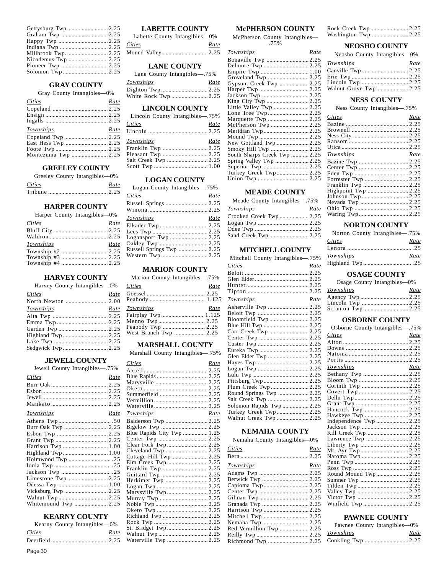#### **GRAY COUNTY**

#### Gray County Intangibles—0%

| Cities             | Rate |
|--------------------|------|
|                    |      |
|                    |      |
|                    |      |
| Townships          | Rate |
|                    |      |
|                    |      |
|                    |      |
| Montezuma Twp 2.25 |      |

#### **GREELEY COUNTY**

|        | Greeley County Intangibles—0% |
|--------|-------------------------------|
| Cities | Rate                          |
|        |                               |

#### **HARPER COUNTY**

| <i>Cities</i> | Rate |
|---------------|------|
|               |      |
|               |      |
| Townships     | Rate |
|               |      |
|               |      |
|               |      |

#### **HARVEY COUNTY**

|  | Harvey County Intangibles-0% |
|--|------------------------------|
|  |                              |

| <b>Cities</b>     | Rate |
|-------------------|------|
|                   |      |
| Townships         | Rate |
|                   |      |
|                   |      |
|                   |      |
|                   |      |
|                   |      |
| Sedgwick Twp 2.25 |      |
|                   |      |

#### **JEWELL COUNTY**

| Jewell County Intangibles-75% |      |
|-------------------------------|------|
| Cities                        | Rate |
|                               |      |
|                               |      |
|                               |      |
|                               |      |
| Townships                     | Rate |
|                               |      |
|                               |      |
|                               |      |
|                               |      |
|                               |      |
|                               |      |
|                               |      |
|                               |      |
|                               |      |
|                               |      |
|                               |      |
| Vicksburg Twp  2.25           |      |
|                               |      |
| Whitemound Twp  2.25          |      |

#### **KEARNY COUNTY**

|        | Kearny County Intangibles—0% |      |
|--------|------------------------------|------|
| Cities |                              | Rate |
|        |                              |      |
|        |                              |      |

| Cities | Rate |  |
|--------|------|--|
|        |      |  |

**LABETTE COUNTY** 

#### **LANE COUNTY**

|   |  | Lane County Intangibles—.75% |  |
|---|--|------------------------------|--|
| - |  |                              |  |

#### **LINCOLN COUNTY**

| Lincoln County Intangibles—.75% |      |
|---------------------------------|------|
| Cities                          | Rate |
|                                 |      |
| Townships                       | Rate |
|                                 |      |
|                                 |      |
|                                 |      |
|                                 |      |

#### **LOGAN COUNTY**

| Logan County Intangibles—.75% |      |
|-------------------------------|------|
| Cities                        | Rate |
|                               |      |
|                               |      |
| Townships                     | Rate |
|                               |      |
|                               |      |
|                               |      |
|                               |      |
| Russell Springs Twp  2.25     |      |
|                               |      |

#### **MARION COUNTY**

Marion County Intangibles—.75%

| <i>Cities</i>         | Rate |
|-----------------------|------|
|                       |      |
|                       |      |
| Townships             | Rate |
| Fairplay Twp 1.125    |      |
|                       |      |
| Peabody Twp  2.25     |      |
| West Branch Twp  2.25 |      |

#### **MARSHALL COUNTY**

Marshall County Intangibles—.75%

| Cities                     | Rate |
|----------------------------|------|
|                            |      |
|                            |      |
|                            |      |
|                            |      |
| Summerfield  2.25          |      |
|                            |      |
|                            |      |
| <b>Townships</b>           | Rate |
|                            |      |
|                            |      |
| Blue Rapids City Twp  1.25 |      |
|                            |      |
| Clear Fork Twp  2.25       |      |
|                            |      |
| Cottage Hill Twp 2.25      |      |
|                            |      |
|                            |      |
|                            |      |
| Herkimer Twp  2.25         |      |
|                            |      |
| Marysville Twp 2.25        |      |
|                            |      |
|                            |      |
|                            |      |
|                            |      |
|                            |      |
|                            |      |
|                            |      |
|                            |      |

#### **McPHERSON COUNTY**

McPherson County Intangibles— .75%

| <u>Townships</u>            | Rate |
|-----------------------------|------|
|                             |      |
|                             |      |
|                             |      |
|                             |      |
| Gypsum Creek Twp 2.25       |      |
|                             |      |
|                             |      |
|                             |      |
| Little Valley Twp 2.25      |      |
|                             |      |
|                             |      |
| McPherson Twp 2.25          |      |
|                             |      |
|                             |      |
|                             |      |
| Smoky Hill Twp 2.25         |      |
| South Sharps Creek Twp 2.25 |      |
| Spring Valley Twp 2.25      |      |
|                             |      |
| Turkey Creek Twp2.25        |      |
|                             |      |

#### **MEADE COUNTY**

| Meade County Intangibles—.75% |      |
|-------------------------------|------|
| Townships                     | Rate |
|                               |      |
|                               |      |
|                               |      |
|                               |      |

#### **MITCHELL COUNTY**

| Mitchell County Intangibles—.75% |      |
|----------------------------------|------|
| Cities                           | Rate |
|                                  |      |
|                                  |      |
|                                  |      |
|                                  |      |
| <b>Townships</b>                 | Rate |
| Asherville Twp 2.25              |      |
|                                  |      |
| Bloomfield Twp 2.25              |      |
|                                  |      |
| Carr Creek Twp  2.25             |      |
|                                  |      |
|                                  |      |
|                                  |      |
|                                  |      |
|                                  |      |
|                                  |      |
|                                  |      |
| Pittsburg Twp2.25                |      |
| Plum Creek Twp  2.25             |      |
| Round Springs Twp  2.25          |      |
| Salt Creek Twp 2.25              |      |
| Solomon Rapids Twp  2.25         |      |
| Turkey Creek Twp2.25             |      |
|                                  |      |

#### **NEMAHA COUNTY**

| Nemaha County Intangibles-0% |      |
|------------------------------|------|
| Cities                       | Rate |
|                              |      |
| Townships                    | Rate |
|                              |      |
|                              |      |
|                              |      |
|                              |      |
|                              |      |
|                              |      |
| Harrison Twp  2.25           |      |
| Mitchell Twp 2.25            |      |
|                              |      |
| Red Vermillion Twp 2.25      |      |
|                              |      |
|                              |      |

| Washington Twp 2.25 |  |
|---------------------|--|

#### **NEOSHO COUNTY**

| Neosho County Intangibles—0% |      |
|------------------------------|------|
| Townships                    | Rate |
|                              |      |
|                              |      |
|                              |      |

#### Walnut Grove Twp ...................... 2.25 **NESS COUNTY**

Ness County Intangibles—.75%

| Cities           | Rate |
|------------------|------|
|                  |      |
|                  |      |
|                  |      |
|                  |      |
|                  |      |
| <i>Townships</i> | Rate |
|                  |      |
|                  |      |
|                  |      |
|                  |      |
|                  |      |
|                  |      |
|                  |      |
|                  |      |
|                  |      |
|                  |      |

#### **NORTON COUNTY**

| Norton County Intangibles—.75% |      |
|--------------------------------|------|
| <i>Cities</i>                  | Rate |
|                                |      |
| Townships                      | Rate |
|                                |      |
|                                |      |

#### **OSAGE COUNTY**

Osage County Intangibles—0%

| Townships | Rate |
|-----------|------|
|           |      |
|           |      |
|           |      |

#### **OSBORNE COUNTY**

| Osborne County Intangibles-75% |      |
|--------------------------------|------|
| Cities                         | Rate |
|                                |      |
|                                |      |
|                                |      |
|                                |      |
| Townships                      | Rate |
| Bethany Twp 2.25               |      |
|                                |      |
|                                |      |
|                                |      |
|                                |      |
|                                |      |
|                                |      |
|                                |      |
| Independence Twp 2.25          |      |
|                                |      |
| Kill Creek Twp  2.25           |      |
|                                |      |
|                                |      |
|                                |      |
|                                |      |
|                                |      |
|                                |      |
|                                |      |
|                                |      |
|                                |      |
|                                |      |
|                                |      |
| Winfield Twp 2.25              |      |

#### **PAWNEE COUNTY**

| Pawnee County Intangibles—0% |      |
|------------------------------|------|
| Townships                    | Rate |
|                              |      |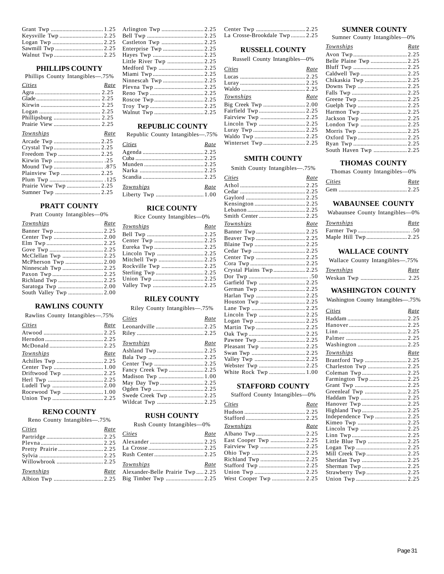#### **PHILLIPS COUNTY**

| Phillips County Intangibles—.75% |      |
|----------------------------------|------|
| Cities                           | Rate |
|                                  |      |
|                                  |      |
|                                  |      |
|                                  |      |
|                                  |      |
|                                  |      |
|                                  |      |
| Townships                        | Rate |
|                                  |      |
| Arcade Twp  2.25                 |      |
| Crystal Twp 2.25                 |      |
|                                  |      |
|                                  |      |

| Medford Twp  2.25 |
|-------------------|
|                   |
|                   |
|                   |
|                   |
|                   |
|                   |
|                   |
|                   |

#### **REPUBLIC COUNTY**

Republic County Intangibles—.75%

| Cities    |      |
|-----------|------|
|           | Rate |
|           |      |
|           |      |
|           |      |
|           |      |
|           |      |
| Townships | Rate |
|           |      |
|           |      |

**RICE COUNTY**  Rice County Intangibles—0% *Townships Rate*  Bell Twp ....................................... 2.25 Center Twp .................................. 2.25 Eureka Twp .................................. 2.25 Lincoln Twp ................................ 2.25 Mitchell Twp ............................... 2.25 Rockville Twp ............................. 2.25 Sterling Twp ................................. 2.25 Union Twp ................................... 2.25 Valley Twp ................................... 2.25 **RILEY COUNTY**  Riley County Intangibles—.75% *Cities Rate*  Leonardville ................................. 2.25 Riley .............................................. 2.25 *Townships Rate*  Ashland Twp ................................ 2.25 Bala Twp ...................................... 2.25 Center Twp .................................. 2.25 Fancy Creek Twp ........................ 2.25 Madison Twp ............................... 1.00 May Day Twp .............................. 2.25

#### **PRATT COUNTY**

Pratt County Intangibles—0%

| Townships              | Rate |
|------------------------|------|
|                        |      |
|                        |      |
|                        |      |
|                        |      |
|                        |      |
| McPherson Twp  2.00    |      |
| Ninnescah Twp  2.25    |      |
|                        |      |
|                        |      |
| Saratoga Twp  2.00     |      |
| South Valley Twp  2.00 |      |

#### **RAWLINS COUNTY**

|  |  | Rawlins County Intangibles—.75% |  |
|--|--|---------------------------------|--|
|--|--|---------------------------------|--|

| <b>Cities</b>      | Rate |
|--------------------|------|
|                    |      |
|                    |      |
|                    |      |
| <u>Townships</u>   | Rate |
|                    |      |
|                    |      |
| Driftwood Twp 2.25 |      |
|                    |      |
|                    |      |
| Rocewood Twp 1.00  |      |
|                    |      |
|                    |      |

#### **RENO COUNTY**

Reno County Intangibles—.75%

| Cities    | Rate |
|-----------|------|
|           |      |
|           |      |
|           |      |
|           |      |
|           |      |
| Townships | Rate |
|           |      |

#### Ogden Twp ................................... 2.25 Swede Creek Twp ........................ 2.25 Wildcat Twp ................................ 2.25

#### **RUSH COUNTY**

Rush County Intangibles—0%

| Cities                          | Rate |
|---------------------------------|------|
|                                 |      |
|                                 |      |
|                                 |      |
| Townships                       | Rate |
| Alexander-Belle Prairie Twp2.25 |      |
|                                 |      |

| La Crosse-Brookdale Twp 2.25 |  |
|------------------------------|--|

#### **RUSSELL COUNTY**

Russell County Intangibles—0%

| Cities              | Rate |
|---------------------|------|
|                     |      |
|                     |      |
|                     |      |
| Townships           | Rate |
|                     |      |
| Fairfield Twp  2.25 |      |
| Fairview Twp  2.25  |      |
|                     |      |
|                     |      |
|                     |      |
|                     |      |
|                     |      |

#### **SMITH COUNTY**

Smith County Intangibles—.75%

| <b>Cities</b>           | Rate |
|-------------------------|------|
|                         |      |
|                         |      |
|                         |      |
|                         |      |
|                         |      |
|                         |      |
| Townships               | Rate |
|                         |      |
|                         |      |
|                         |      |
|                         |      |
|                         |      |
|                         |      |
| Crystal Plains Twp 2.25 |      |
|                         |      |
|                         |      |
|                         |      |
|                         |      |
|                         |      |
|                         |      |
|                         |      |
|                         |      |
|                         |      |
|                         |      |
|                         |      |
|                         |      |
|                         |      |
|                         |      |
|                         |      |
| White Rock Twp  1.00    |      |

#### **STAFFORD COUNTY**

Stafford County Intangibles—0%

| Cities                | Rate |
|-----------------------|------|
|                       |      |
|                       |      |
| Townships             | Rate |
|                       |      |
| East Cooper Twp  2.25 |      |
|                       |      |
|                       |      |
|                       |      |
|                       |      |
|                       |      |
|                       |      |

#### **SUMNER COUNTY**

Sumner County Intangibles—0%

| <u>Townships</u>       | Rate |
|------------------------|------|
|                        |      |
| Belle Plaine Twp  2.25 |      |
|                        |      |
|                        |      |
| Chikaskia Twp  2.25    |      |
|                        |      |
|                        |      |
|                        |      |
|                        |      |
| Harmon Twp  2.25       |      |
| Jackson Twp  2.25      |      |
|                        |      |
|                        |      |
|                        |      |
|                        |      |
| South Haven Twp  2.25  |      |
|                        |      |

#### **THOMAS COUNTY**

Thomas County Intangibles—0%

| Cities | Rate |
|--------|------|
|        |      |

#### **WABAUNSEE COUNTY**

Wabaunsee County Intangibles—0%

| Townships | Rate |
|-----------|------|
|           |      |
|           |      |

#### **WALLACE COUNTY**

| Wallace County Intangibles—.75% |      |
|---------------------------------|------|
| Townships                       | Rate |
|                                 |      |

#### **WASHINGTON COUNTY**

Washington County Intangibles—.75%

| Cities                | Rate |
|-----------------------|------|
|                       |      |
|                       |      |
|                       |      |
|                       |      |
|                       |      |
| <b>Townships</b>      | Rate |
|                       |      |
| Charleston Twp 2.25   |      |
|                       |      |
| Farmington Twp2.25    |      |
|                       |      |
|                       |      |
|                       |      |
|                       |      |
| Highland Twp  2.25    |      |
| Independence Twp 2.25 |      |
|                       |      |
|                       |      |
|                       |      |
| Little Blue Twp  2.25 |      |
|                       |      |
|                       |      |
|                       |      |
|                       |      |
|                       |      |
|                       |      |